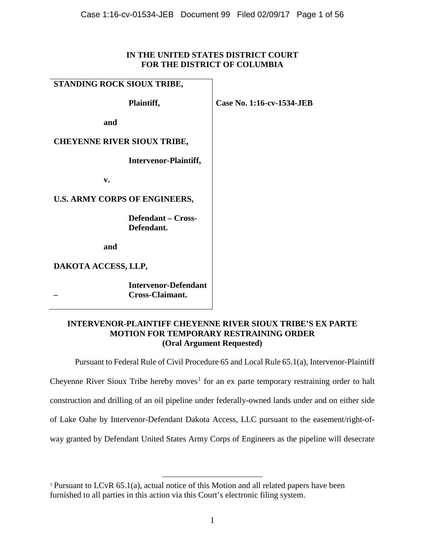# **IN THE UNITED STATES DISTRICT COURT FOR THE DISTRICT OF COLUMBIA**

# **STANDING ROCK SIOUX TRIBE,**

**Plaintiff,**

**Case No. 1:16-cv-1534-JEB**

**and**

# **CHEYENNE RIVER SIOUX TRIBE,**

**Intervenor-Plaintiff,**

**v.**

# **U.S. ARMY CORPS OF ENGINEERS,**

**Defendant – Cross-Defendant.**

**and**

**DAKOTA ACCESS, LLP,**

**Intervenor-Defendant – Cross-Claimant.**

# **INTERVENOR-PLAINTIFF CHEYENNE RIVER SIOUX TRIBE'S EX PARTE MOTION FOR TEMPORARY RESTRAINING ORDER (Oral Argument Requested)**

Pursuant to Federal Rule of Civil Procedure 65 and Local Rule 65.1(a), Intervenor-Plaintiff

Cheyenne River Sioux Tribe hereby moves<sup>1</sup> for an ex parte temporary restraining order to halt

construction and drilling of an oil pipeline under federally-owned lands under and on either side

of Lake Oahe by Intervenor-Defendant Dakota Access, LLC pursuant to the easement/right-of-

way granted by Defendant United States Army Corps of Engineers as the pipeline will desecrate

<sup>&</sup>lt;sup>1</sup> Pursuant to LCvR 65.1(a), actual notice of this Motion and all related papers have been furnished to all parties in this action via this Court's electronic filing system.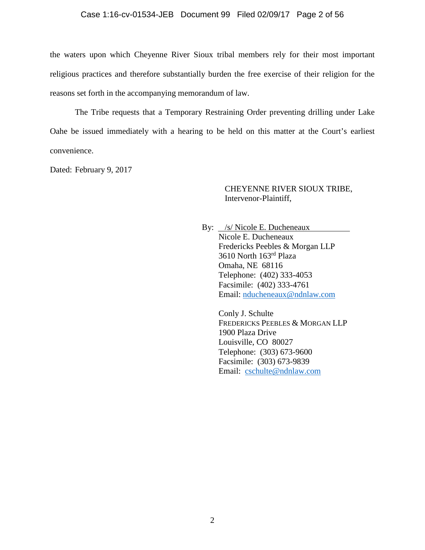## Case 1:16-cv-01534-JEB Document 99 Filed 02/09/17 Page 2 of 56

the waters upon which Cheyenne River Sioux tribal members rely for their most important religious practices and therefore substantially burden the free exercise of their religion for the reasons set forth in the accompanying memorandum of law.

The Tribe requests that a Temporary Restraining Order preventing drilling under Lake Oahe be issued immediately with a hearing to be held on this matter at the Court's earliest convenience.

Dated: February 9, 2017

## CHEYENNE RIVER SIOUX TRIBE, Intervenor-Plaintiff,

By: */s/* Nicole E. Ducheneaux Nicole E. Ducheneaux Fredericks Peebles & Morgan LLP 3610 North 163rd Plaza Omaha, NE 68116 Telephone: (402) 333-4053 Facsimile: (402) 333-4761 Email: nducheneaux@ndnlaw.com

> Conly J. Schulte FREDERICKS PEEBLES & MORGAN LLP 1900 Plaza Drive Louisville, CO 80027 Telephone: (303) 673-9600 Facsimile: (303) 673-9839 Email: cschulte@ndnlaw.com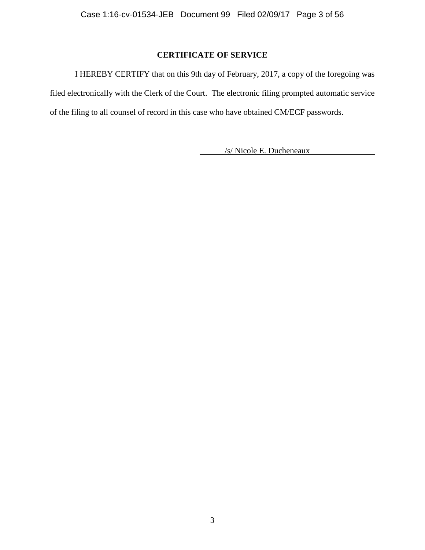# **CERTIFICATE OF SERVICE**

I HEREBY CERTIFY that on this 9th day of February, 2017, a copy of the foregoing was filed electronically with the Clerk of the Court. The electronic filing prompted automatic service of the filing to all counsel of record in this case who have obtained CM/ECF passwords.

/s/ Nicole E. Ducheneaux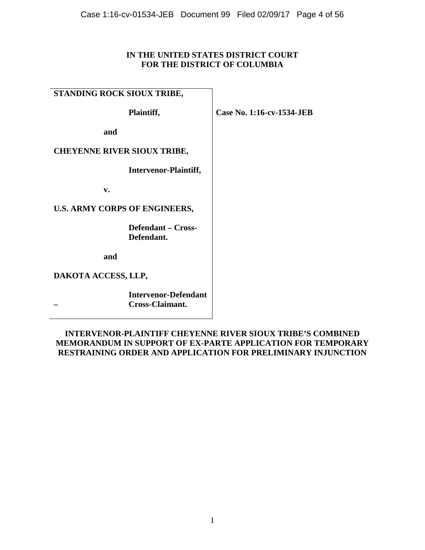# **IN THE UNITED STATES DISTRICT COURT FOR THE DISTRICT OF COLUMBIA**

# **STANDING ROCK SIOUX TRIBE,**

**Plaintiff,**

**Case No. 1:16-cv-1534-JEB**

**and**

# **CHEYENNE RIVER SIOUX TRIBE,**

**Intervenor-Plaintiff,**

**v.**

**U.S. ARMY CORPS OF ENGINEERS,**

**Defendant – Cross-Defendant.**

**and**

**DAKOTA ACCESS, LLP,**

**Intervenor-Defendant – Cross-Claimant.**

# **INTERVENOR-PLAINTIFF CHEYENNE RIVER SIOUX TRIBE'S COMBINED MEMORANDUM IN SUPPORT OF EX-PARTE APPLICATION FOR TEMPORARY RESTRAINING ORDER AND APPLICATION FOR PRELIMINARY INJUNCTION**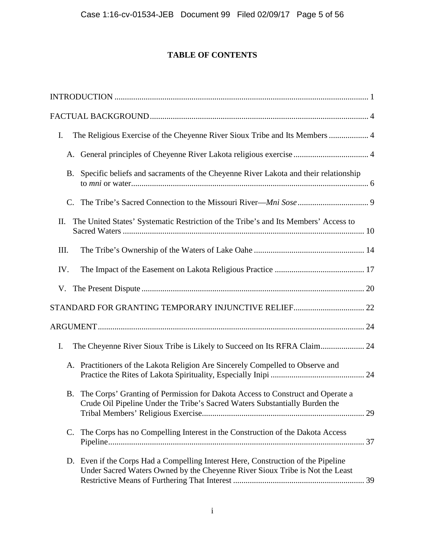# **TABLE OF CONTENTS**

| The Religious Exercise of the Cheyenne River Sioux Tribe and Its Members  4<br>I.                                                                                 |
|-------------------------------------------------------------------------------------------------------------------------------------------------------------------|
| A. General principles of Cheyenne River Lakota religious exercise  4                                                                                              |
| B. Specific beliefs and sacraments of the Cheyenne River Lakota and their relationship                                                                            |
|                                                                                                                                                                   |
| The United States' Systematic Restriction of the Tribe's and Its Members' Access to<br>II.                                                                        |
| III.                                                                                                                                                              |
| IV.                                                                                                                                                               |
| V.                                                                                                                                                                |
|                                                                                                                                                                   |
|                                                                                                                                                                   |
| I.                                                                                                                                                                |
| A. Practitioners of the Lakota Religion Are Sincerely Compelled to Observe and                                                                                    |
| B. The Corps' Granting of Permission for Dakota Access to Construct and Operate a<br>Crude Oil Pipeline Under the Tribe's Sacred Waters Substantially Burden the  |
| C. The Corps has no Compelling Interest in the Construction of the Dakota Access                                                                                  |
| D. Even if the Corps Had a Compelling Interest Here, Construction of the Pipeline<br>Under Sacred Waters Owned by the Cheyenne River Sioux Tribe is Not the Least |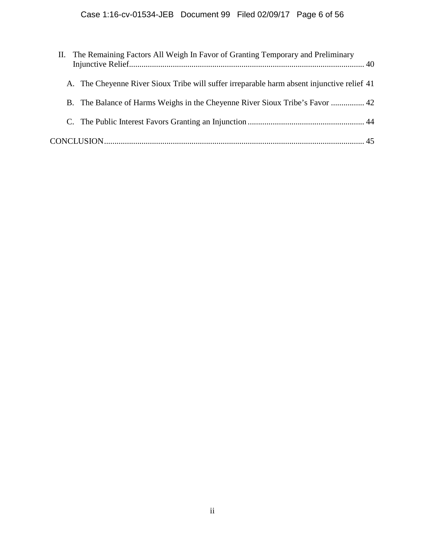| II. The Remaining Factors All Weigh In Favor of Granting Temporary and Preliminary         |  |
|--------------------------------------------------------------------------------------------|--|
| A. The Cheyenne River Sioux Tribe will suffer irreparable harm absent injunctive relief 41 |  |
| B. The Balance of Harms Weighs in the Cheyenne River Sioux Tribe's Favor  42               |  |
|                                                                                            |  |
|                                                                                            |  |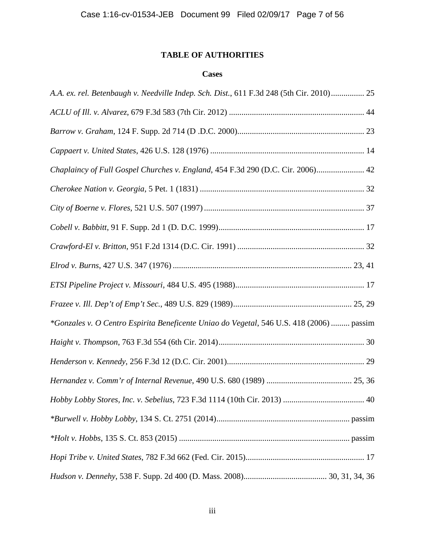# **TABLE OF AUTHORITIES**

# **Cases**

| A.A. ex. rel. Betenbaugh v. Needville Indep. Sch. Dist., 611 F.3d 248 (5th Cir. 2010) 25 |  |
|------------------------------------------------------------------------------------------|--|
|                                                                                          |  |
|                                                                                          |  |
|                                                                                          |  |
| Chaplaincy of Full Gospel Churches v. England, 454 F.3d 290 (D.C. Cir. 2006) 42          |  |
|                                                                                          |  |
|                                                                                          |  |
|                                                                                          |  |
|                                                                                          |  |
|                                                                                          |  |
|                                                                                          |  |
|                                                                                          |  |
| *Gonzales v. O Centro Espirita Beneficente Uniao do Vegetal, 546 U.S. 418 (2006)  passim |  |
|                                                                                          |  |
|                                                                                          |  |
|                                                                                          |  |
|                                                                                          |  |
|                                                                                          |  |
|                                                                                          |  |
|                                                                                          |  |
|                                                                                          |  |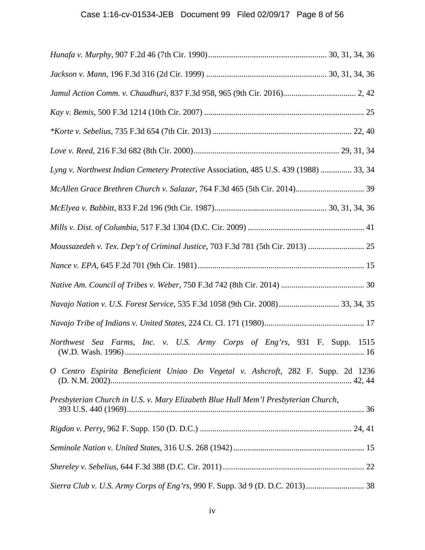# Case 1:16-cv-01534-JEB Document 99 Filed 02/09/17 Page 8 of 56

| Jamul Action Comm. v. Chaudhuri, 837 F.3d 958, 965 (9th Cir. 2016) 2, 42              |  |
|---------------------------------------------------------------------------------------|--|
|                                                                                       |  |
|                                                                                       |  |
|                                                                                       |  |
| Lyng v. Northwest Indian Cemetery Protective Association, 485 U.S. 439 (1988)  33, 34 |  |
|                                                                                       |  |
|                                                                                       |  |
|                                                                                       |  |
| Moussazedeh v. Tex. Dep't of Criminal Justice, 703 F.3d 781 (5th Cir. 2013)           |  |
|                                                                                       |  |
|                                                                                       |  |
| Navajo Nation v. U.S. Forest Service, 535 F.3d 1058 (9th Cir. 2008) 33, 34, 35        |  |
|                                                                                       |  |
| Northwest Sea Farms, Inc. v. U.S. Army Corps of Eng'rs, 931 F. Supp. 1515             |  |
| O Centro Espirita Beneficient Uniao Do Vegetal v. Ashcroft, 282 F. Supp. 2d 1236      |  |
| Presbyterian Church in U.S. v. Mary Elizabeth Blue Hull Mem'l Presbyterian Church,    |  |
|                                                                                       |  |
|                                                                                       |  |
|                                                                                       |  |
|                                                                                       |  |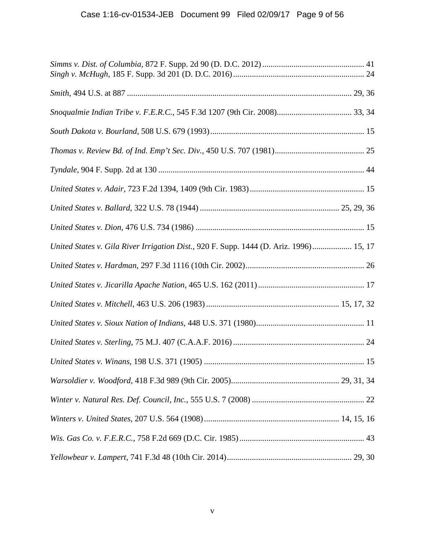| United States v. Gila River Irrigation Dist., 920 F. Supp. 1444 (D. Ariz. 1996) 15, 17 |  |
|----------------------------------------------------------------------------------------|--|
|                                                                                        |  |
|                                                                                        |  |
|                                                                                        |  |
|                                                                                        |  |
|                                                                                        |  |
|                                                                                        |  |
|                                                                                        |  |
|                                                                                        |  |
|                                                                                        |  |
|                                                                                        |  |
|                                                                                        |  |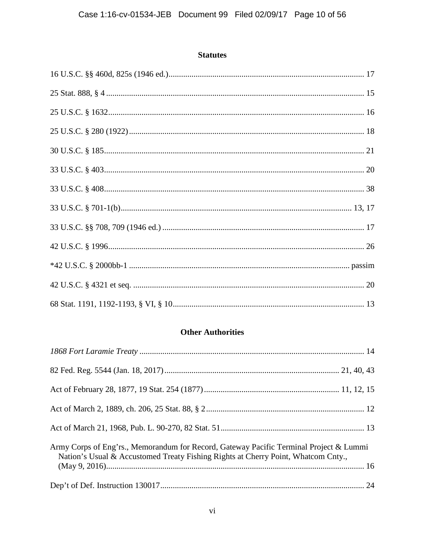# **Statutes**

# **Other Authorities**

| Army Corps of Eng'rs., Memorandum for Record, Gateway Pacific Terminal Project & Lummi<br>Nation's Usual & Accustomed Treaty Fishing Rights at Cherry Point, Whatcom Cnty., |  |
|-----------------------------------------------------------------------------------------------------------------------------------------------------------------------------|--|
|                                                                                                                                                                             |  |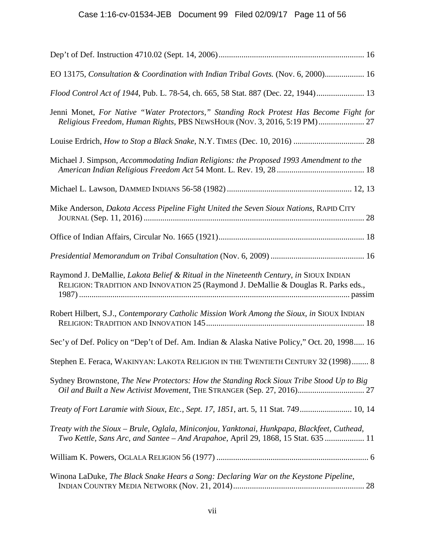| EO 13175, Consultation & Coordination with Indian Tribal Govts. (Nov. 6, 2000) 16                                                                                                |
|----------------------------------------------------------------------------------------------------------------------------------------------------------------------------------|
| Flood Control Act of 1944, Pub. L. 78-54, ch. 665, 58 Stat. 887 (Dec. 22, 1944) 13                                                                                               |
| Jenni Monet, For Native "Water Protectors," Standing Rock Protest Has Become Fight for<br>Religious Freedom, Human Rights, PBS NEWSHOUR (NOV. 3, 2016, 5:19 PM)  27              |
|                                                                                                                                                                                  |
| Michael J. Simpson, Accommodating Indian Religions: the Proposed 1993 Amendment to the                                                                                           |
|                                                                                                                                                                                  |
| Mike Anderson, Dakota Access Pipeline Fight United the Seven Sioux Nations, RAPID CITY                                                                                           |
|                                                                                                                                                                                  |
|                                                                                                                                                                                  |
| Raymond J. DeMallie, Lakota Belief & Ritual in the Nineteenth Century, in SIOUX INDIAN<br>RELIGION: TRADITION AND INNOVATION 25 (Raymond J. DeMallie & Douglas R. Parks eds.,    |
| Robert Hilbert, S.J., Contemporary Catholic Mission Work Among the Sioux, in SIOUX INDIAN                                                                                        |
| Sec'y of Def. Policy on "Dep't of Def. Am. Indian & Alaska Native Policy," Oct. 20, 1998 16                                                                                      |
| Stephen E. Feraca, WAKINYAN: LAKOTA RELIGION IN THE TWENTIETH CENTURY 32 (1998) 8                                                                                                |
| Sydney Brownstone, The New Protectors: How the Standing Rock Sioux Tribe Stood Up to Big                                                                                         |
| Treaty of Fort Laramie with Sioux, Etc., Sept. 17, 1851, art. 5, 11 Stat. 749 10, 14                                                                                             |
| Treaty with the Sioux – Brule, Oglala, Miniconjou, Yanktonai, Hunkpapa, Blackfeet, Cuthead,<br>Two Kettle, Sans Arc, and Santee - And Arapahoe, April 29, 1868, 15 Stat. 635  11 |
|                                                                                                                                                                                  |
| Winona LaDuke, The Black Snake Hears a Song: Declaring War on the Keystone Pipeline,                                                                                             |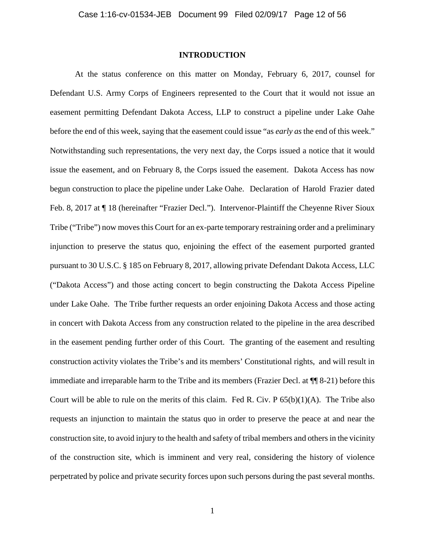## **INTRODUCTION**

At the status conference on this matter on Monday, February 6, 2017, counsel for Defendant U.S. Army Corps of Engineers represented to the Court that it would not issue an easement permitting Defendant Dakota Access, LLP to construct a pipeline under Lake Oahe before the end of this week, saying that the easement could issue "as *early as* the end of this week." Notwithstanding such representations, the very next day, the Corps issued a notice that it would issue the easement, and on February 8, the Corps issued the easement. Dakota Access has now begun construction to place the pipeline under Lake Oahe. Declaration of Harold Frazier dated Feb. 8, 2017 at ¶ 18 (hereinafter "Frazier Decl."). Intervenor-Plaintiff the Cheyenne River Sioux Tribe ("Tribe") now moves this Court for an ex-parte temporary restraining order and a preliminary injunction to preserve the status quo, enjoining the effect of the easement purported granted pursuant to 30 U.S.C. § 185 on February 8, 2017, allowing private Defendant Dakota Access, LLC ("Dakota Access") and those acting concert to begin constructing the Dakota Access Pipeline under Lake Oahe. The Tribe further requests an order enjoining Dakota Access and those acting in concert with Dakota Access from any construction related to the pipeline in the area described in the easement pending further order of this Court. The granting of the easement and resulting construction activity violates the Tribe's and its members' Constitutional rights, and will result in immediate and irreparable harm to the Tribe and its members (Frazier Decl. at ¶¶ 8-21) before this Court will be able to rule on the merits of this claim. Fed R. Civ.  $P\left(\frac{65(b)}{1}\right)$  The Tribe also requests an injunction to maintain the status quo in order to preserve the peace at and near the construction site, to avoid injury to the health and safety of tribal members and others in the vicinity of the construction site, which is imminent and very real, considering the history of violence perpetrated by police and private security forces upon such persons during the past several months.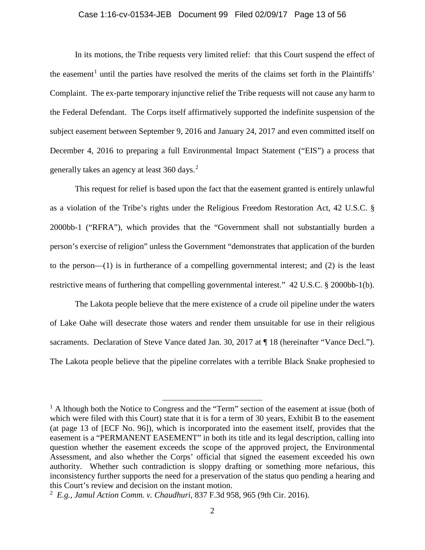## Case 1:16-cv-01534-JEB Document 99 Filed 02/09/17 Page 13 of 56

In its motions, the Tribe requests very limited relief: that this Court suspend the effect of the easement<sup>1</sup> until the parties have resolved the merits of the claims set forth in the Plaintiffs' Complaint. The ex-parte temporary injunctive relief the Tribe requests will not cause any harm to the Federal Defendant. The Corps itself affirmatively supported the indefinite suspension of the subject easement between September 9, 2016 and January 24, 2017 and even committed itself on December 4, 2016 to preparing a full Environmental Impact Statement ("EIS") a process that generally takes an agency at least 360 days.<sup>2</sup>

This request for relief is based upon the fact that the easement granted is entirely unlawful as a violation of the Tribe's rights under the Religious Freedom Restoration Act, 42 U.S.C. § 2000bb-1 ("RFRA"), which provides that the "Government shall not substantially burden a person's exercise of religion" unless the Government "demonstrates that application of the burden to the person—(1) is in furtherance of a compelling governmental interest; and (2) is the least restrictive means of furthering that compelling governmental interest." 42 U.S.C. § 2000bb-1(b).

The Lakota people believe that the mere existence of a crude oil pipeline under the waters of Lake Oahe will desecrate those waters and render them unsuitable for use in their religious sacraments. Declaration of Steve Vance dated Jan. 30, 2017 at  $\P$  18 (hereinafter "Vance Decl."). The Lakota people believe that the pipeline correlates with a terrible Black Snake prophesied to

 $<sup>1</sup>$  A lthough both the Notice to Congress and the "Term" section of the easement at issue (both of</sup> which were filed with this Court) state that it is for a term of 30 years, Exhibit B to the easement (at page 13 of [ECF No. 96]), which is incorporated into the easement itself, provides that the easement is a "PERMANENT EASEMENT" in both its title and its legal description, calling into question whether the easement exceeds the scope of the approved project, the Environmental Assessment, and also whether the Corps' official that signed the easement exceeded his own authority. Whether such contradiction is sloppy drafting or something more nefarious, this inconsistency further supports the need for a preservation of the status quo pending a hearing and this Court's review and decision on the instant motion.

<sup>2</sup> *E.g.*, *Jamul Action Comm. v. Chaudhuri*, 837 F.3d 958, 965 (9th Cir. 2016).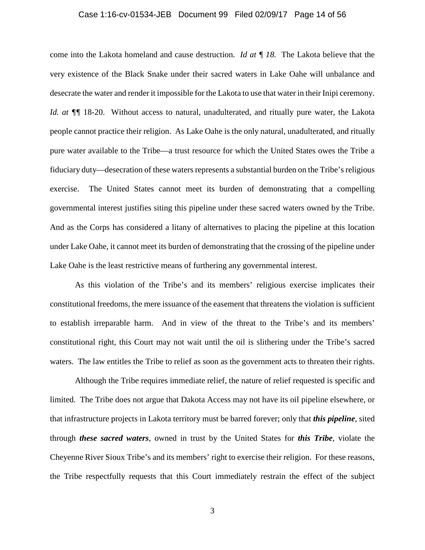#### Case 1:16-cv-01534-JEB Document 99 Filed 02/09/17 Page 14 of 56

come into the Lakota homeland and cause destruction. *Id at ¶ 18.* The Lakota believe that the very existence of the Black Snake under their sacred waters in Lake Oahe will unbalance and desecrate the water and render it impossible for the Lakota to use that water in their Inipi ceremony. *Id. at*  $\P$  *[*] 18-20. Without access to natural, unadulterated, and ritually pure water, the Lakota people cannot practice their religion. As Lake Oahe is the only natural, unadulterated, and ritually pure water available to the Tribe—a trust resource for which the United States owes the Tribe a fiduciary duty—desecration of these waters represents a substantial burden on the Tribe's religious exercise. The United States cannot meet its burden of demonstrating that a compelling governmental interest justifies siting this pipeline under these sacred waters owned by the Tribe. And as the Corps has considered a litany of alternatives to placing the pipeline at this location under Lake Oahe, it cannot meet its burden of demonstrating that the crossing of the pipeline under Lake Oahe is the least restrictive means of furthering any governmental interest.

As this violation of the Tribe's and its members' religious exercise implicates their constitutional freedoms, the mere issuance of the easement that threatens the violation is sufficient to establish irreparable harm. And in view of the threat to the Tribe's and its members' constitutional right, this Court may not wait until the oil is slithering under the Tribe's sacred waters. The law entitles the Tribe to relief as soon as the government acts to threaten their rights.

Although the Tribe requires immediate relief, the nature of relief requested is specific and limited. The Tribe does not argue that Dakota Access may not have its oil pipeline elsewhere, or that infrastructure projects in Lakota territory must be barred forever; only that *this pipeline*, sited through *these sacred waters*, owned in trust by the United States for *this Tribe*, violate the Cheyenne River Sioux Tribe's and its members' right to exercise their religion. For these reasons, the Tribe respectfully requests that this Court immediately restrain the effect of the subject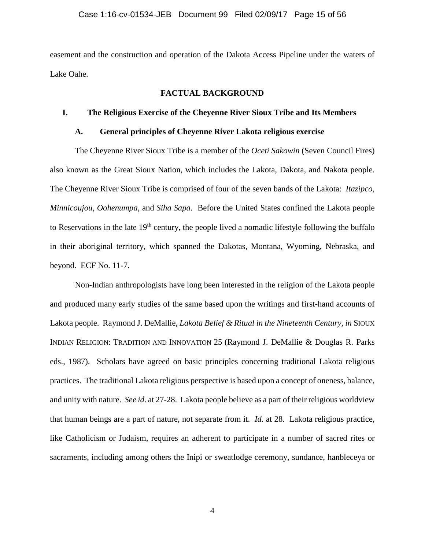easement and the construction and operation of the Dakota Access Pipeline under the waters of Lake Oahe.

## **FACTUAL BACKGROUND**

## **I. The Religious Exercise of the Cheyenne River Sioux Tribe and Its Members**

## **A. General principles of Cheyenne River Lakota religious exercise**

The Cheyenne River Sioux Tribe is a member of the *Oceti Sakowin* (Seven Council Fires) also known as the Great Sioux Nation, which includes the Lakota, Dakota, and Nakota people. The Cheyenne River Sioux Tribe is comprised of four of the seven bands of the Lakota: *Itazipco*, *Minnicoujou*, *Oohenumpa*, and *Siha Sapa*. Before the United States confined the Lakota people to Reservations in the late  $19<sup>th</sup>$  century, the people lived a nomadic lifestyle following the buffalo in their aboriginal territory, which spanned the Dakotas, Montana, Wyoming, Nebraska, and beyond. ECF No. 11-7.

Non-Indian anthropologists have long been interested in the religion of the Lakota people and produced many early studies of the same based upon the writings and first-hand accounts of Lakota people. Raymond J. DeMallie, *Lakota Belief & Ritual in the Nineteenth Century*, *in* SIOUX INDIAN RELIGION: TRADITION AND INNOVATION 25 (Raymond J. DeMallie & Douglas R. Parks eds., 1987). Scholars have agreed on basic principles concerning traditional Lakota religious practices. The traditional Lakota religious perspective is based upon a concept of oneness, balance, and unity with nature. *See id*. at 27-28. Lakota people believe as a part of their religious worldview that human beings are a part of nature, not separate from it. *Id.* at 28. Lakota religious practice, like Catholicism or Judaism, requires an adherent to participate in a number of sacred rites or sacraments, including among others the Inipi or sweatlodge ceremony, sundance, hanbleceya or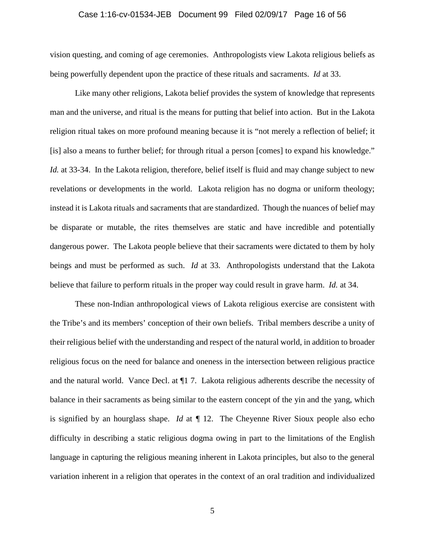## Case 1:16-cv-01534-JEB Document 99 Filed 02/09/17 Page 16 of 56

vision questing, and coming of age ceremonies. Anthropologists view Lakota religious beliefs as being powerfully dependent upon the practice of these rituals and sacraments. *Id* at 33.

Like many other religions, Lakota belief provides the system of knowledge that represents man and the universe, and ritual is the means for putting that belief into action. But in the Lakota religion ritual takes on more profound meaning because it is "not merely a reflection of belief; it [is] also a means to further belief; for through ritual a person [comes] to expand his knowledge." *Id.* at 33-34. In the Lakota religion, therefore, belief itself is fluid and may change subject to new revelations or developments in the world. Lakota religion has no dogma or uniform theology; instead it is Lakota rituals and sacraments that are standardized. Though the nuances of belief may be disparate or mutable, the rites themselves are static and have incredible and potentially dangerous power. The Lakota people believe that their sacraments were dictated to them by holy beings and must be performed as such. *Id* at 33. Anthropologists understand that the Lakota believe that failure to perform rituals in the proper way could result in grave harm. *Id.* at 34.

These non-Indian anthropological views of Lakota religious exercise are consistent with the Tribe's and its members' conception of their own beliefs. Tribal members describe a unity of their religious belief with the understanding and respect of the natural world, in addition to broader religious focus on the need for balance and oneness in the intersection between religious practice and the natural world. Vance Decl. at ¶1 7. Lakota religious adherents describe the necessity of balance in their sacraments as being similar to the eastern concept of the yin and the yang, which is signified by an hourglass shape. *Id* at *¶* 12. The Cheyenne River Sioux people also echo difficulty in describing a static religious dogma owing in part to the limitations of the English language in capturing the religious meaning inherent in Lakota principles, but also to the general variation inherent in a religion that operates in the context of an oral tradition and individualized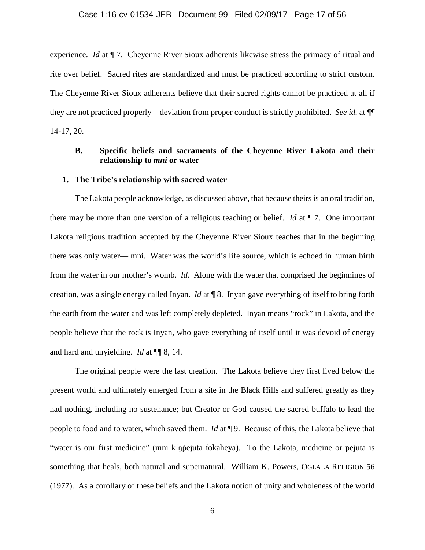## Case 1:16-cv-01534-JEB Document 99 Filed 02/09/17 Page 17 of 56

experience. *Id* at ¶ 7. Cheyenne River Sioux adherents likewise stress the primacy of ritual and rite over belief. Sacred rites are standardized and must be practiced according to strict custom. The Cheyenne River Sioux adherents believe that their sacred rights cannot be practiced at all if they are not practiced properly—deviation from proper conduct is strictly prohibited. *See id.* at ¶¶ 14-17, 20.

# **B. Specific beliefs and sacraments of the Cheyenne River Lakota and their relationship to** *mni* **or water**

### **1. The Tribe's relationship with sacred water**

The Lakota people acknowledge, as discussed above, that because theirs is an oral tradition, there may be more than one version of a religious teaching or belief. *Id* at ¶ 7. One important Lakota religious tradition accepted by the Cheyenne River Sioux teaches that in the beginning there was only water— mni. Water was the world's life source, which is echoed in human birth from the water in our mother's womb. *Id*. Along with the water that comprised the beginnings of creation, was a single energy called Inyan. *Id* at ¶ 8. Inyan gave everything of itself to bring forth the earth from the water and was left completely depleted. Inyan means "rock" in Lakota, and the people believe that the rock is Inyan, who gave everything of itself until it was devoid of energy and hard and unyielding. *Id* at ¶¶ 8, 14.

The original people were the last creation. The Lakota believe they first lived below the present world and ultimately emerged from a site in the Black Hills and suffered greatly as they had nothing, including no sustenance; but Creator or God caused the sacred buffalo to lead the people to food and to water, which saved them. *Id* at ¶ 9. Because of this, the Lakota believe that "water is our first medicine" (mni kiŋṗejuta ṫokaheya). To the Lakota, medicine or pejuta is something that heals, both natural and supernatural. William K. Powers, OGLALA RELIGION 56 (1977). As a corollary of these beliefs and the Lakota notion of unity and wholeness of the world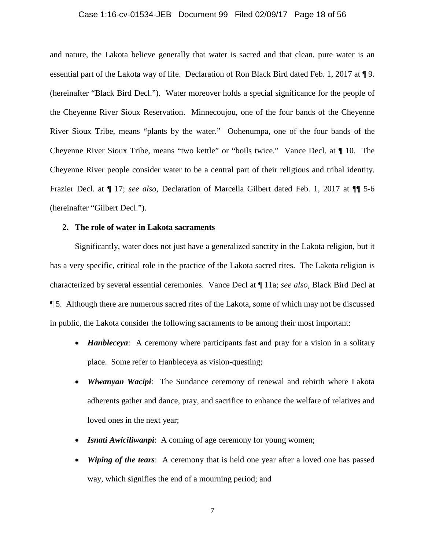#### Case 1:16-cv-01534-JEB Document 99 Filed 02/09/17 Page 18 of 56

and nature, the Lakota believe generally that water is sacred and that clean, pure water is an essential part of the Lakota way of life. Declaration of Ron Black Bird dated Feb. 1, 2017 at ¶ 9. (hereinafter "Black Bird Decl."). Water moreover holds a special significance for the people of the Cheyenne River Sioux Reservation. Minnecoujou, one of the four bands of the Cheyenne River Sioux Tribe, means "plants by the water." Oohenumpa, one of the four bands of the Cheyenne River Sioux Tribe, means "two kettle" or "boils twice." Vance Decl. at ¶ 10. The Cheyenne River people consider water to be a central part of their religious and tribal identity. Frazier Decl. at ¶ 17; *see also*, Declaration of Marcella Gilbert dated Feb. 1, 2017 at ¶¶ 5-6 (hereinafter "Gilbert Decl.").

## **2. The role of water in Lakota sacraments**

Significantly, water does not just have a generalized sanctity in the Lakota religion, but it has a very specific, critical role in the practice of the Lakota sacred rites. The Lakota religion is characterized by several essential ceremonies. Vance Decl at ¶ 11a; *see also*, Black Bird Decl at ¶ 5. Although there are numerous sacred rites of the Lakota, some of which may not be discussed in public, the Lakota consider the following sacraments to be among their most important:

- *Hanbleceya*: A ceremony where participants fast and pray for a vision in a solitary place. Some refer to Hanbleceya as vision-questing;
- *Wiwanyan Wacipi*: The Sundance ceremony of renewal and rebirth where Lakota adherents gather and dance, pray, and sacrifice to enhance the welfare of relatives and loved ones in the next year;
- **Isnati Awiciliwanpi**: A coming of age ceremony for young women;
- *Wiping of the tears*: A ceremony that is held one year after a loved one has passed way, which signifies the end of a mourning period; and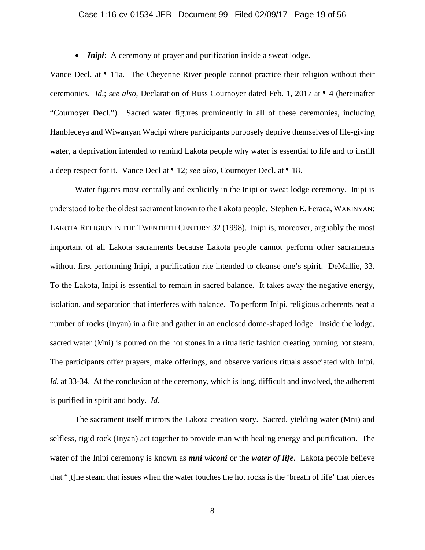## Case 1:16-cv-01534-JEB Document 99 Filed 02/09/17 Page 19 of 56

• *Inipi*: A ceremony of prayer and purification inside a sweat lodge.

Vance Decl. at ¶ 11a. The Cheyenne River people cannot practice their religion without their ceremonies. *Id*.; *see also,* Declaration of Russ Cournoyer dated Feb. 1, 2017 at ¶ 4 (hereinafter "Cournoyer Decl."). Sacred water figures prominently in all of these ceremonies, including Hanbleceya and Wiwanyan Wacipi where participants purposely deprive themselves of life-giving water, a deprivation intended to remind Lakota people why water is essential to life and to instill a deep respect for it. Vance Decl at ¶ 12; *see also*, Cournoyer Decl. at ¶ 18.

Water figures most centrally and explicitly in the Inipi or sweat lodge ceremony. Inipi is understood to be the oldest sacrament known to the Lakota people. Stephen E. Feraca, WAKINYAN: LAKOTA RELIGION IN THE TWENTIETH CENTURY 32 (1998). Inipi is, moreover, arguably the most important of all Lakota sacraments because Lakota people cannot perform other sacraments without first performing Inipi, a purification rite intended to cleanse one's spirit. DeMallie, 33. To the Lakota, Inipi is essential to remain in sacred balance. It takes away the negative energy, isolation, and separation that interferes with balance. To perform Inipi, religious adherents heat a number of rocks (Inyan) in a fire and gather in an enclosed dome-shaped lodge. Inside the lodge, sacred water (Mni) is poured on the hot stones in a ritualistic fashion creating burning hot steam. The participants offer prayers, make offerings, and observe various rituals associated with Inipi. *Id.* at 33-34. At the conclusion of the ceremony, which is long, difficult and involved, the adherent is purified in spirit and body. *Id*.

The sacrament itself mirrors the Lakota creation story. Sacred, yielding water (Mni) and selfless, rigid rock (Inyan) act together to provide man with healing energy and purification. The water of the Inipi ceremony is known as *mni wiconi* or the *water of life*. Lakota people believe that "[t]he steam that issues when the water touches the hot rocks is the 'breath of life' that pierces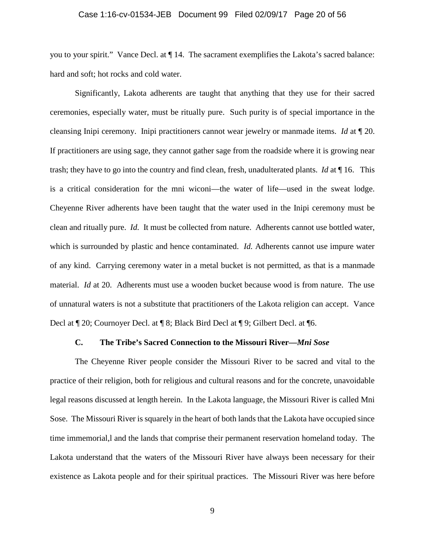## Case 1:16-cv-01534-JEB Document 99 Filed 02/09/17 Page 20 of 56

you to your spirit." Vance Decl. at ¶ 14. The sacrament exemplifies the Lakota's sacred balance: hard and soft; hot rocks and cold water.

Significantly, Lakota adherents are taught that anything that they use for their sacred ceremonies, especially water, must be ritually pure. Such purity is of special importance in the cleansing Inipi ceremony. Inipi practitioners cannot wear jewelry or manmade items. *Id* at ¶ 20. If practitioners are using sage, they cannot gather sage from the roadside where it is growing near trash; they have to go into the country and find clean, fresh, unadulterated plants. *Id* at ¶ 16. This is a critical consideration for the mni wiconi—the water of life—used in the sweat lodge. Cheyenne River adherents have been taught that the water used in the Inipi ceremony must be clean and ritually pure. *Id.* It must be collected from nature. Adherents cannot use bottled water, which is surrounded by plastic and hence contaminated. *Id.* Adherents cannot use impure water of any kind. Carrying ceremony water in a metal bucket is not permitted, as that is a manmade material. *Id* at 20. Adherents must use a wooden bucket because wood is from nature. The use of unnatural waters is not a substitute that practitioners of the Lakota religion can accept. Vance Decl at ¶ 20; Cournoyer Decl. at ¶ 8; Black Bird Decl at ¶ 9; Gilbert Decl. at ¶6.

# **C. The Tribe's Sacred Connection to the Missouri River—***Mni Sose*

The Cheyenne River people consider the Missouri River to be sacred and vital to the practice of their religion, both for religious and cultural reasons and for the concrete, unavoidable legal reasons discussed at length herein. In the Lakota language, the Missouri River is called Mni Sose. The Missouri River is squarely in the heart of both lands that the Lakota have occupied since time immemorial,l and the lands that comprise their permanent reservation homeland today. The Lakota understand that the waters of the Missouri River have always been necessary for their existence as Lakota people and for their spiritual practices. The Missouri River was here before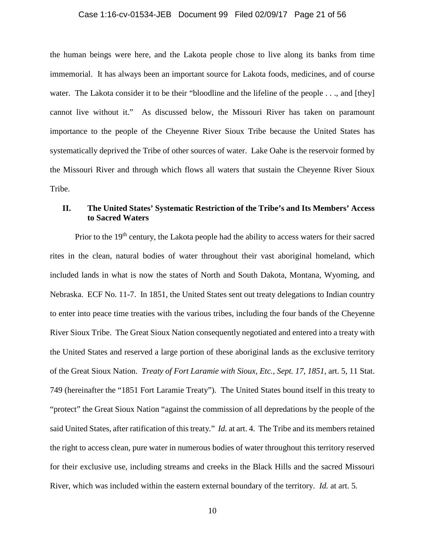## Case 1:16-cv-01534-JEB Document 99 Filed 02/09/17 Page 21 of 56

the human beings were here, and the Lakota people chose to live along its banks from time immemorial. It has always been an important source for Lakota foods, medicines, and of course water. The Lakota consider it to be their "bloodline and the lifeline of the people . . ., and [they] cannot live without it." As discussed below, the Missouri River has taken on paramount importance to the people of the Cheyenne River Sioux Tribe because the United States has systematically deprived the Tribe of other sources of water. Lake Oahe is the reservoir formed by the Missouri River and through which flows all waters that sustain the Cheyenne River Sioux Tribe.

# **II. The United States' Systematic Restriction of the Tribe's and Its Members' Access to Sacred Waters**

Prior to the 19<sup>th</sup> century, the Lakota people had the ability to access waters for their sacred rites in the clean, natural bodies of water throughout their vast aboriginal homeland, which included lands in what is now the states of North and South Dakota, Montana, Wyoming, and Nebraska. ECF No. 11-7. In 1851, the United States sent out treaty delegations to Indian country to enter into peace time treaties with the various tribes, including the four bands of the Cheyenne River Sioux Tribe. The Great Sioux Nation consequently negotiated and entered into a treaty with the United States and reserved a large portion of these aboriginal lands as the exclusive territory of the Great Sioux Nation. *Treaty of Fort Laramie with Sioux, Etc., Sept. 17, 1851*, art. 5, 11 Stat. 749 (hereinafter the "1851 Fort Laramie Treaty"). The United States bound itself in this treaty to "protect" the Great Sioux Nation "against the commission of all depredations by the people of the said United States, after ratification of this treaty." *Id.* at art. 4. The Tribe and its members retained the right to access clean, pure water in numerous bodies of water throughout this territory reserved for their exclusive use, including streams and creeks in the Black Hills and the sacred Missouri River, which was included within the eastern external boundary of the territory. *Id.* at art. 5*.*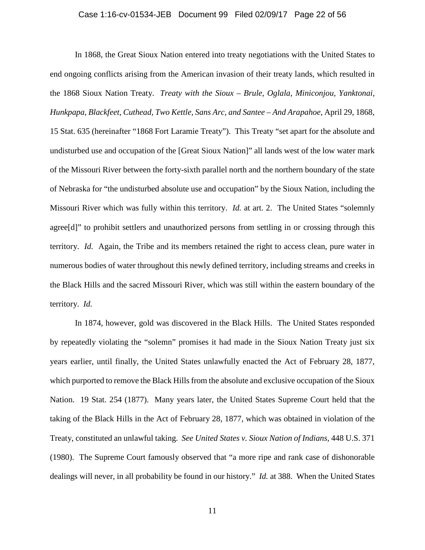#### Case 1:16-cv-01534-JEB Document 99 Filed 02/09/17 Page 22 of 56

In 1868, the Great Sioux Nation entered into treaty negotiations with the United States to end ongoing conflicts arising from the American invasion of their treaty lands, which resulted in the 1868 Sioux Nation Treaty. *Treaty with the Sioux – Brule, Oglala, Miniconjou, Yanktonai, Hunkpapa, Blackfeet, Cuthead, Two Kettle, Sans Arc, and Santee – And Arapahoe*, April 29, 1868, 15 Stat. 635 (hereinafter "1868 Fort Laramie Treaty"). This Treaty "set apart for the absolute and undisturbed use and occupation of the [Great Sioux Nation]" all lands west of the low water mark of the Missouri River between the forty-sixth parallel north and the northern boundary of the state of Nebraska for "the undisturbed absolute use and occupation" by the Sioux Nation, including the Missouri River which was fully within this territory. *Id.* at art. 2. The United States "solemnly agree[d]" to prohibit settlers and unauthorized persons from settling in or crossing through this territory. *Id.* Again, the Tribe and its members retained the right to access clean, pure water in numerous bodies of water throughout this newly defined territory, including streams and creeks in the Black Hills and the sacred Missouri River, which was still within the eastern boundary of the territory. *Id.*

In 1874, however, gold was discovered in the Black Hills. The United States responded by repeatedly violating the "solemn" promises it had made in the Sioux Nation Treaty just six years earlier, until finally, the United States unlawfully enacted the Act of February 28, 1877, which purported to remove the Black Hills from the absolute and exclusive occupation of the Sioux Nation. 19 Stat. 254 (1877). Many years later, the United States Supreme Court held that the taking of the Black Hills in the Act of February 28, 1877, which was obtained in violation of the Treaty, constituted an unlawful taking. *See United States v. Sioux Nation of Indians*, 448 U.S. 371 (1980). The Supreme Court famously observed that "a more ripe and rank case of dishonorable dealings will never, in all probability be found in our history." *Id.* at 388. When the United States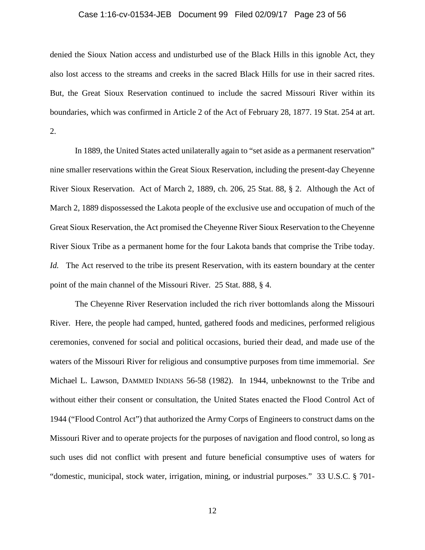#### Case 1:16-cv-01534-JEB Document 99 Filed 02/09/17 Page 23 of 56

denied the Sioux Nation access and undisturbed use of the Black Hills in this ignoble Act, they also lost access to the streams and creeks in the sacred Black Hills for use in their sacred rites. But, the Great Sioux Reservation continued to include the sacred Missouri River within its boundaries, which was confirmed in Article 2 of the Act of February 28, 1877. 19 Stat. 254 at art. 2.

In 1889, the United States acted unilaterally again to "set aside as a permanent reservation" nine smaller reservations within the Great Sioux Reservation, including the present-day Cheyenne River Sioux Reservation. Act of March 2, 1889, ch. 206, 25 Stat. 88, § 2. Although the Act of March 2, 1889 dispossessed the Lakota people of the exclusive use and occupation of much of the Great Sioux Reservation, the Act promised the Cheyenne River Sioux Reservation to the Cheyenne River Sioux Tribe as a permanent home for the four Lakota bands that comprise the Tribe today. *Id.* The Act reserved to the tribe its present Reservation, with its eastern boundary at the center point of the main channel of the Missouri River. 25 Stat. 888, § 4.

The Cheyenne River Reservation included the rich river bottomlands along the Missouri River. Here, the people had camped, hunted, gathered foods and medicines, performed religious ceremonies, convened for social and political occasions, buried their dead, and made use of the waters of the Missouri River for religious and consumptive purposes from time immemorial. *See*  Michael L. Lawson, DAMMED INDIANS 56-58 (1982). In 1944, unbeknownst to the Tribe and without either their consent or consultation, the United States enacted the Flood Control Act of 1944 ("Flood Control Act") that authorized the Army Corps of Engineers to construct dams on the Missouri River and to operate projects for the purposes of navigation and flood control, so long as such uses did not conflict with present and future beneficial consumptive uses of waters for "domestic, municipal, stock water, irrigation, mining, or industrial purposes." 33 U.S.C. § 701-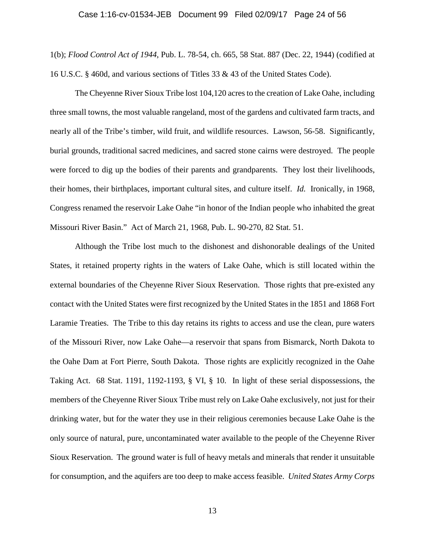#### Case 1:16-cv-01534-JEB Document 99 Filed 02/09/17 Page 24 of 56

1(b); *Flood Control Act of 1944*, Pub. L. 78-54, ch. 665, 58 Stat. 887 (Dec. 22, 1944) (codified at 16 U.S.C. § 460d, and various sections of Titles 33 & 43 of the United States Code).

The Cheyenne River Sioux Tribe lost 104,120 acres to the creation of Lake Oahe, including three small towns, the most valuable rangeland, most of the gardens and cultivated farm tracts, and nearly all of the Tribe's timber, wild fruit, and wildlife resources. Lawson, 56-58. Significantly, burial grounds, traditional sacred medicines, and sacred stone cairns were destroyed. The people were forced to dig up the bodies of their parents and grandparents. They lost their livelihoods, their homes, their birthplaces, important cultural sites, and culture itself. *Id.* Ironically, in 1968, Congress renamed the reservoir Lake Oahe "in honor of the Indian people who inhabited the great Missouri River Basin." Act of March 21, 1968, Pub. L. 90-270, 82 Stat. 51.

Although the Tribe lost much to the dishonest and dishonorable dealings of the United States, it retained property rights in the waters of Lake Oahe, which is still located within the external boundaries of the Cheyenne River Sioux Reservation. Those rights that pre-existed any contact with the United States were first recognized by the United States in the 1851 and 1868 Fort Laramie Treaties. The Tribe to this day retains its rights to access and use the clean, pure waters of the Missouri River, now Lake Oahe—a reservoir that spans from Bismarck, North Dakota to the Oahe Dam at Fort Pierre, South Dakota. Those rights are explicitly recognized in the Oahe Taking Act. 68 Stat. 1191, 1192-1193, § VI, § 10. In light of these serial dispossessions, the members of the Cheyenne River Sioux Tribe must rely on Lake Oahe exclusively, not just for their drinking water, but for the water they use in their religious ceremonies because Lake Oahe is the only source of natural, pure, uncontaminated water available to the people of the Cheyenne River Sioux Reservation. The ground water is full of heavy metals and minerals that render it unsuitable for consumption, and the aquifers are too deep to make access feasible. *United States Army Corps*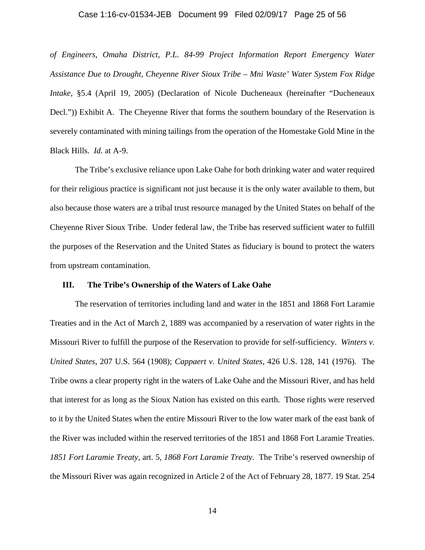## Case 1:16-cv-01534-JEB Document 99 Filed 02/09/17 Page 25 of 56

*of Engineers, Omaha District, P.L. 84-99 Project Information Report Emergency Water Assistance Due to Drought, Cheyenne River Sioux Tribe – Mni Waste' Water System Fox Ridge Intake*, §5.4 (April 19, 2005) (Declaration of Nicole Ducheneaux (hereinafter "Ducheneaux Decl.")) Exhibit A. The Cheyenne River that forms the southern boundary of the Reservation is severely contaminated with mining tailings from the operation of the Homestake Gold Mine in the Black Hills. *Id.* at A-9.

The Tribe's exclusive reliance upon Lake Oahe for both drinking water and water required for their religious practice is significant not just because it is the only water available to them, but also because those waters are a tribal trust resource managed by the United States on behalf of the Cheyenne River Sioux Tribe. Under federal law, the Tribe has reserved sufficient water to fulfill the purposes of the Reservation and the United States as fiduciary is bound to protect the waters from upstream contamination.

## **III. The Tribe's Ownership of the Waters of Lake Oahe**

The reservation of territories including land and water in the 1851 and 1868 Fort Laramie Treaties and in the Act of March 2, 1889 was accompanied by a reservation of water rights in the Missouri River to fulfill the purpose of the Reservation to provide for self-sufficiency. *Winters v. United States*, 207 U.S. 564 (1908); *Cappaert v. United States*, 426 U.S. 128, 141 (1976). The Tribe owns a clear property right in the waters of Lake Oahe and the Missouri River, and has held that interest for as long as the Sioux Nation has existed on this earth. Those rights were reserved to it by the United States when the entire Missouri River to the low water mark of the east bank of the River was included within the reserved territories of the 1851 and 1868 Fort Laramie Treaties. *1851 Fort Laramie Treaty*, art. 5, *1868 Fort Laramie Treaty*. The Tribe's reserved ownership of the Missouri River was again recognized in Article 2 of the Act of February 28, 1877. 19 Stat. 254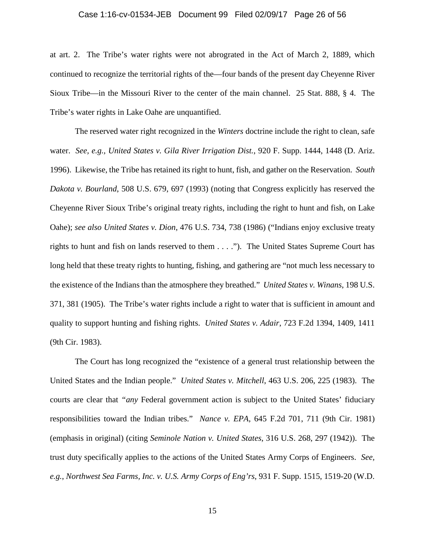#### Case 1:16-cv-01534-JEB Document 99 Filed 02/09/17 Page 26 of 56

at art. 2. The Tribe's water rights were not abrograted in the Act of March 2, 1889, which continued to recognize the territorial rights of the—four bands of the present day Cheyenne River Sioux Tribe—in the Missouri River to the center of the main channel. 25 Stat. 888, § 4. The Tribe's water rights in Lake Oahe are unquantified.

The reserved water right recognized in the *Winters* doctrine include the right to clean, safe water. *See, e.g., United States v. Gila River Irrigation Dist.*, 920 F. Supp. 1444, 1448 (D. Ariz. 1996). Likewise, the Tribe has retained its right to hunt, fish, and gather on the Reservation. *South Dakota v. Bourland*, 508 U.S. 679, 697 (1993) (noting that Congress explicitly has reserved the Cheyenne River Sioux Tribe's original treaty rights, including the right to hunt and fish, on Lake Oahe); *see also United States v. Dion*, 476 U.S. 734, 738 (1986) ("Indians enjoy exclusive treaty rights to hunt and fish on lands reserved to them . . . ."). The United States Supreme Court has long held that these treaty rights to hunting, fishing, and gathering are "not much less necessary to the existence of the Indians than the atmosphere they breathed." *United States v. Winans*, 198 U.S. 371, 381 (1905). The Tribe's water rights include a right to water that is sufficient in amount and quality to support hunting and fishing rights. *United States v. Adair*, 723 F.2d 1394, 1409, 1411 (9th Cir. 1983).

The Court has long recognized the "existence of a general trust relationship between the United States and the Indian people." *United States v. Mitchell*, 463 U.S. 206, 225 (1983). The courts are clear that *"any* Federal government action is subject to the United States' fiduciary responsibilities toward the Indian tribes." *Nance v. EPA*, 645 F.2d 701, 711 (9th Cir. 1981) (emphasis in original) (citing *Seminole Nation v. United States*, 316 U.S. 268, 297 (1942)). The trust duty specifically applies to the actions of the United States Army Corps of Engineers. *See, e.g.*, *Northwest Sea Farms, Inc. v. U.S. Army Corps of Eng'rs*, 931 F. Supp. 1515, 1519-20 (W.D.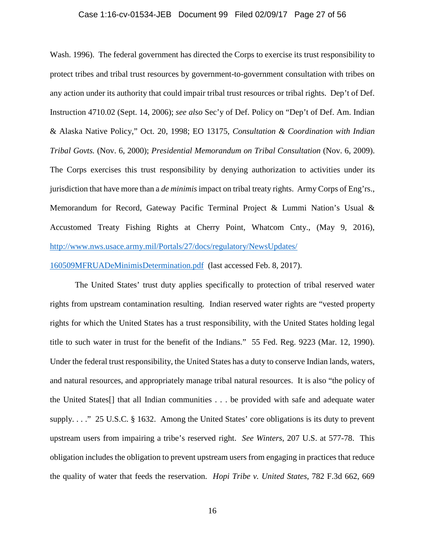#### Case 1:16-cv-01534-JEB Document 99 Filed 02/09/17 Page 27 of 56

Wash. 1996). The federal government has directed the Corps to exercise its trust responsibility to protect tribes and tribal trust resources by government-to-government consultation with tribes on any action under its authority that could impair tribal trust resources or tribal rights. Dep't of Def. Instruction 4710.02 (Sept. 14, 2006); *see also* Sec'y of Def. Policy on "Dep't of Def. Am. Indian & Alaska Native Policy," Oct. 20, 1998; EO 13175, *Consultation & Coordination with Indian Tribal Govts.* (Nov. 6, 2000); *Presidential Memorandum on Tribal Consultation* (Nov. 6, 2009). The Corps exercises this trust responsibility by denying authorization to activities under its jurisdiction that have more than a *de minimis* impact on tribal treaty rights. Army Corps of Eng'rs., Memorandum for Record, Gateway Pacific Terminal Project & Lummi Nation's Usual & Accustomed Treaty Fishing Rights at Cherry Point, Whatcom Cnty., (May 9, 2016), http://www.nws.usace.army.mil/Portals/27/docs/regulatory/NewsUpdates/

160509MFRUADeMinimisDetermination.pdf (last accessed Feb. 8, 2017).

The United States' trust duty applies specifically to protection of tribal reserved water rights from upstream contamination resulting. Indian reserved water rights are "vested property rights for which the United States has a trust responsibility, with the United States holding legal title to such water in trust for the benefit of the Indians." 55 Fed. Reg. 9223 (Mar. 12, 1990). Under the federal trust responsibility, the United States has a duty to conserve Indian lands, waters, and natural resources, and appropriately manage tribal natural resources. It is also "the policy of the United States[] that all Indian communities . . . be provided with safe and adequate water supply. . . ." 25 U.S.C. § 1632. Among the United States' core obligations is its duty to prevent upstream users from impairing a tribe's reserved right. *See Winters*, 207 U.S. at 577-78. This obligation includes the obligation to prevent upstream users from engaging in practices that reduce the quality of water that feeds the reservation. *Hopi Tribe v. United States*, 782 F.3d 662, 669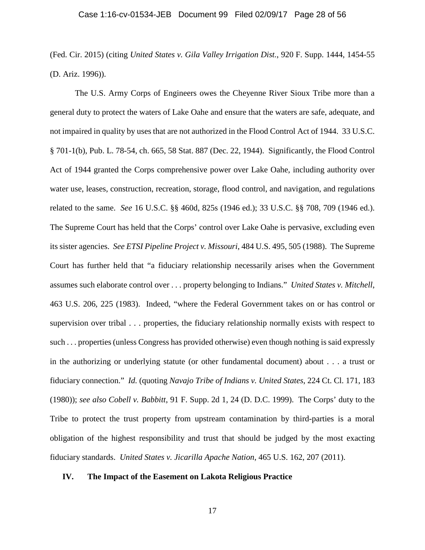#### Case 1:16-cv-01534-JEB Document 99 Filed 02/09/17 Page 28 of 56

(Fed. Cir. 2015) (citing *United States v. Gila Valley Irrigation Dist.*, 920 F. Supp. 1444, 1454-55 (D. Ariz. 1996)).

The U.S. Army Corps of Engineers owes the Cheyenne River Sioux Tribe more than a general duty to protect the waters of Lake Oahe and ensure that the waters are safe, adequate, and not impaired in quality by uses that are not authorized in the Flood Control Act of 1944. 33 U.S.C. § 701-1(b), Pub. L. 78-54, ch. 665, 58 Stat. 887 (Dec. 22, 1944). Significantly, the Flood Control Act of 1944 granted the Corps comprehensive power over Lake Oahe, including authority over water use, leases, construction, recreation, storage, flood control, and navigation, and regulations related to the same. *See* 16 U.S.C. §§ 460d, 825s (1946 ed.); 33 U.S.C. §§ 708, 709 (1946 ed.). The Supreme Court has held that the Corps' control over Lake Oahe is pervasive, excluding even its sister agencies. *See ETSI Pipeline Project v. Missouri*, 484 U.S. 495, 505 (1988). The Supreme Court has further held that "a fiduciary relationship necessarily arises when the Government assumes such elaborate control over . . . property belonging to Indians." *United States v. Mitchell*, 463 U.S. 206, 225 (1983). Indeed, "where the Federal Government takes on or has control or supervision over tribal . . . properties, the fiduciary relationship normally exists with respect to such . . . properties (unless Congress has provided otherwise) even though nothing is said expressly in the authorizing or underlying statute (or other fundamental document) about . . . a trust or fiduciary connection." *Id.* (quoting *Navajo Tribe of Indians v. United States*, 224 Ct. Cl. 171, 183 (1980)); *see also Cobell v. Babbitt*, 91 F. Supp. 2d 1, 24 (D. D.C. 1999). The Corps' duty to the Tribe to protect the trust property from upstream contamination by third-parties is a moral obligation of the highest responsibility and trust that should be judged by the most exacting fiduciary standards. *United States v. Jicarilla Apache Nation*, 465 U.S. 162, 207 (2011).

# **IV. The Impact of the Easement on Lakota Religious Practice**

17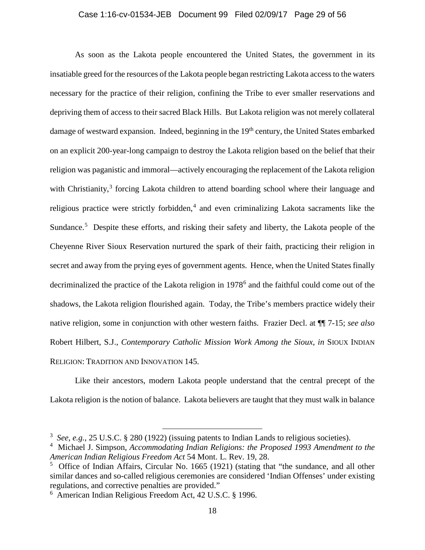#### Case 1:16-cv-01534-JEB Document 99 Filed 02/09/17 Page 29 of 56

As soon as the Lakota people encountered the United States, the government in its insatiable greed for the resources of the Lakota people began restricting Lakota access to the waters necessary for the practice of their religion, confining the Tribe to ever smaller reservations and depriving them of access to their sacred Black Hills. But Lakota religion was not merely collateral damage of westward expansion. Indeed, beginning in the 19<sup>th</sup> century, the United States embarked on an explicit 200-year-long campaign to destroy the Lakota religion based on the belief that their religion was paganistic and immoral—actively encouraging the replacement of the Lakota religion with Christianity,<sup>3</sup> forcing Lakota children to attend boarding school where their language and religious practice were strictly forbidden,<sup>4</sup> and even criminalizing Lakota sacraments like the Sundance.<sup>5</sup> Despite these efforts, and risking their safety and liberty, the Lakota people of the Cheyenne River Sioux Reservation nurtured the spark of their faith, practicing their religion in secret and away from the prying eyes of government agents. Hence, when the United States finally decriminalized the practice of the Lakota religion in 1978<sup>6</sup> and the faithful could come out of the shadows, the Lakota religion flourished again. Today, the Tribe's members practice widely their native religion, some in conjunction with other western faiths. Frazier Decl. at ¶¶ 7-15; *see also*  Robert Hilbert, S.J., *Contemporary Catholic Mission Work Among the Sioux*, *in* SIOUX INDIAN RELIGION: TRADITION AND INNOVATION 145.

Like their ancestors, modern Lakota people understand that the central precept of the Lakota religion is the notion of balance. Lakota believers are taught that they must walk in balance

 <sup>3</sup> *See*, *e.g.*, 25 U.S.C. § 280 (1922) (issuing patents to Indian Lands to religious societies).

<sup>4</sup> Michael J. Simpson, *Accommodating Indian Religions: the Proposed 1993 Amendment to the American Indian Religious Freedom Act* 54 Mont. L. Rev. 19, 28.

 $5$  Office of Indian Affairs, Circular No. 1665 (1921) (stating that "the sundance, and all other similar dances and so-called religious ceremonies are considered 'Indian Offenses' under existing regulations, and corrective penalties are provided."

<sup>6</sup> American Indian Religious Freedom Act, 42 U.S.C. § 1996.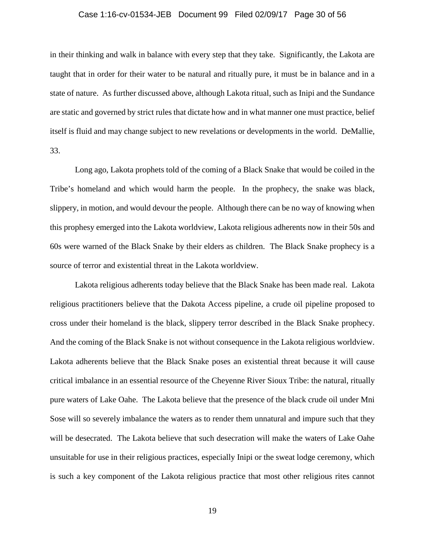#### Case 1:16-cv-01534-JEB Document 99 Filed 02/09/17 Page 30 of 56

in their thinking and walk in balance with every step that they take. Significantly, the Lakota are taught that in order for their water to be natural and ritually pure, it must be in balance and in a state of nature. As further discussed above, although Lakota ritual, such as Inipi and the Sundance are static and governed by strict rules that dictate how and in what manner one must practice, belief itself is fluid and may change subject to new revelations or developments in the world. DeMallie, 33.

Long ago, Lakota prophets told of the coming of a Black Snake that would be coiled in the Tribe's homeland and which would harm the people. In the prophecy, the snake was black, slippery, in motion, and would devour the people. Although there can be no way of knowing when this prophesy emerged into the Lakota worldview, Lakota religious adherents now in their 50s and 60s were warned of the Black Snake by their elders as children. The Black Snake prophecy is a source of terror and existential threat in the Lakota worldview.

Lakota religious adherents today believe that the Black Snake has been made real. Lakota religious practitioners believe that the Dakota Access pipeline, a crude oil pipeline proposed to cross under their homeland is the black, slippery terror described in the Black Snake prophecy. And the coming of the Black Snake is not without consequence in the Lakota religious worldview. Lakota adherents believe that the Black Snake poses an existential threat because it will cause critical imbalance in an essential resource of the Cheyenne River Sioux Tribe: the natural, ritually pure waters of Lake Oahe. The Lakota believe that the presence of the black crude oil under Mni Sose will so severely imbalance the waters as to render them unnatural and impure such that they will be desecrated. The Lakota believe that such desecration will make the waters of Lake Oahe unsuitable for use in their religious practices, especially Inipi or the sweat lodge ceremony, which is such a key component of the Lakota religious practice that most other religious rites cannot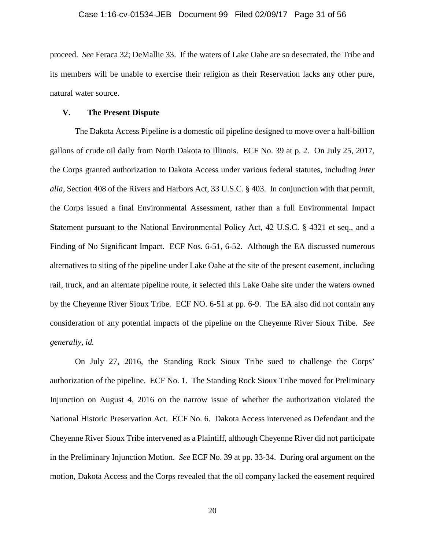proceed. *See* Feraca 32; DeMallie 33. If the waters of Lake Oahe are so desecrated, the Tribe and its members will be unable to exercise their religion as their Reservation lacks any other pure, natural water source.

### **V. The Present Dispute**

The Dakota Access Pipeline is a domestic oil pipeline designed to move over a half-billion gallons of crude oil daily from North Dakota to Illinois. ECF No. 39 at p. 2. On July 25, 2017, the Corps granted authorization to Dakota Access under various federal statutes, including *inter alia*, Section 408 of the Rivers and Harbors Act, 33 U.S.C. § 403. In conjunction with that permit, the Corps issued a final Environmental Assessment, rather than a full Environmental Impact Statement pursuant to the National Environmental Policy Act, 42 U.S.C. § 4321 et seq., and a Finding of No Significant Impact. ECF Nos. 6-51, 6-52. Although the EA discussed numerous alternatives to siting of the pipeline under Lake Oahe at the site of the present easement, including rail, truck, and an alternate pipeline route, it selected this Lake Oahe site under the waters owned by the Cheyenne River Sioux Tribe. ECF NO. 6-51 at pp. 6-9. The EA also did not contain any consideration of any potential impacts of the pipeline on the Cheyenne River Sioux Tribe. *See generally, id.*

On July 27, 2016, the Standing Rock Sioux Tribe sued to challenge the Corps' authorization of the pipeline. ECF No. 1. The Standing Rock Sioux Tribe moved for Preliminary Injunction on August 4, 2016 on the narrow issue of whether the authorization violated the National Historic Preservation Act. ECF No. 6. Dakota Access intervened as Defendant and the Cheyenne River Sioux Tribe intervened as a Plaintiff, although Cheyenne River did not participate in the Preliminary Injunction Motion. *See* ECF No. 39 at pp. 33-34. During oral argument on the motion, Dakota Access and the Corps revealed that the oil company lacked the easement required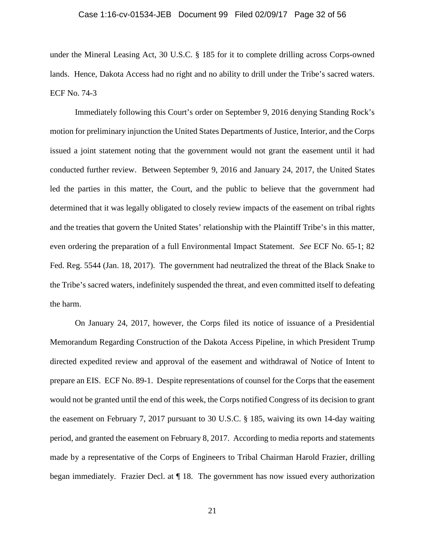#### Case 1:16-cv-01534-JEB Document 99 Filed 02/09/17 Page 32 of 56

under the Mineral Leasing Act, 30 U.S.C. § 185 for it to complete drilling across Corps-owned lands. Hence, Dakota Access had no right and no ability to drill under the Tribe's sacred waters. ECF No. 74-3

Immediately following this Court's order on September 9, 2016 denying Standing Rock's motion for preliminary injunction the United States Departments of Justice, Interior, and the Corps issued a joint statement noting that the government would not grant the easement until it had conducted further review. Between September 9, 2016 and January 24, 2017, the United States led the parties in this matter, the Court, and the public to believe that the government had determined that it was legally obligated to closely review impacts of the easement on tribal rights and the treaties that govern the United States' relationship with the Plaintiff Tribe's in this matter, even ordering the preparation of a full Environmental Impact Statement. *See* ECF No. 65-1; 82 Fed. Reg. 5544 (Jan. 18, 2017). The government had neutralized the threat of the Black Snake to the Tribe's sacred waters, indefinitely suspended the threat, and even committed itself to defeating the harm.

On January 24, 2017, however, the Corps filed its notice of issuance of a Presidential Memorandum Regarding Construction of the Dakota Access Pipeline, in which President Trump directed expedited review and approval of the easement and withdrawal of Notice of Intent to prepare an EIS. ECF No. 89-1. Despite representations of counsel for the Corps that the easement would not be granted until the end of this week, the Corps notified Congress of its decision to grant the easement on February 7, 2017 pursuant to 30 U.S.C. § 185, waiving its own 14-day waiting period, and granted the easement on February 8, 2017. According to media reports and statements made by a representative of the Corps of Engineers to Tribal Chairman Harold Frazier, drilling began immediately. Frazier Decl. at ¶ 18. The government has now issued every authorization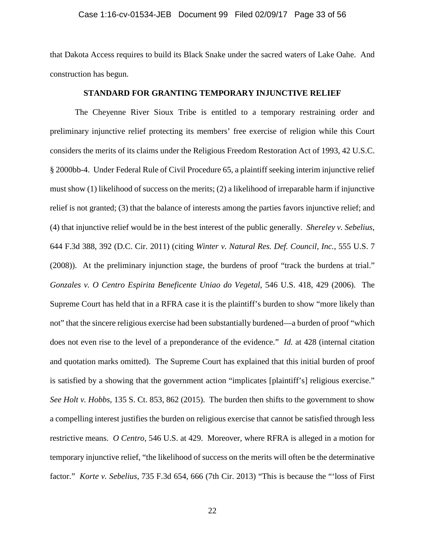## Case 1:16-cv-01534-JEB Document 99 Filed 02/09/17 Page 33 of 56

that Dakota Access requires to build its Black Snake under the sacred waters of Lake Oahe. And construction has begun.

## **STANDARD FOR GRANTING TEMPORARY INJUNCTIVE RELIEF**

The Cheyenne River Sioux Tribe is entitled to a temporary restraining order and preliminary injunctive relief protecting its members' free exercise of religion while this Court considers the merits of its claims under the Religious Freedom Restoration Act of 1993, 42 U.S.C. § 2000bb-4. Under Federal Rule of Civil Procedure 65, a plaintiff seeking interim injunctive relief must show (1) likelihood of success on the merits; (2) a likelihood of irreparable harm if injunctive relief is not granted; (3) that the balance of interests among the parties favors injunctive relief; and (4) that injunctive relief would be in the best interest of the public generally. *Shereley v. Sebelius*, 644 F.3d 388, 392 (D.C. Cir. 2011) (citing *Winter v. Natural Res. Def. Council, Inc.*, 555 U.S. 7 (2008)). At the preliminary injunction stage, the burdens of proof "track the burdens at trial." *Gonzales v. O Centro Espirita Beneficente Uniao do Vegetal*, 546 U.S. 418, 429 (2006). The Supreme Court has held that in a RFRA case it is the plaintiff's burden to show "more likely than not" that the sincere religious exercise had been substantially burdened—a burden of proof "which does not even rise to the level of a preponderance of the evidence." *Id.* at 428 (internal citation and quotation marks omitted). The Supreme Court has explained that this initial burden of proof is satisfied by a showing that the government action "implicates [plaintiff's] religious exercise." *See Holt v. Hobbs*, 135 S. Ct. 853, 862 (2015). The burden then shifts to the government to show a compelling interest justifies the burden on religious exercise that cannot be satisfied through less restrictive means. *O Centro*, 546 U.S. at 429. Moreover, where RFRA is alleged in a motion for temporary injunctive relief, "the likelihood of success on the merits will often be the determinative factor." *Korte v. Sebelius*, 735 F.3d 654, 666 (7th Cir. 2013) "This is because the "'loss of First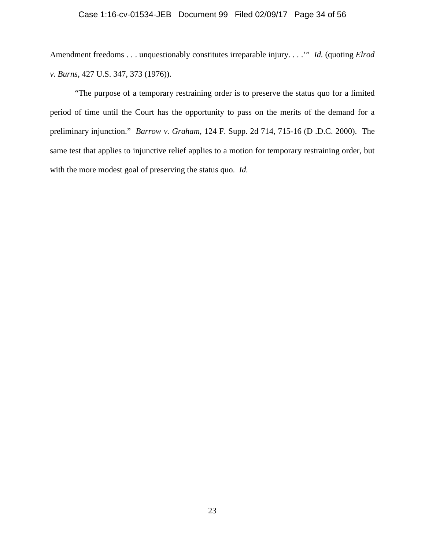# Case 1:16-cv-01534-JEB Document 99 Filed 02/09/17 Page 34 of 56

Amendment freedoms . . . unquestionably constitutes irreparable injury. . . .'" *Id.* (quoting *Elrod v. Burns*, 427 U.S. 347, 373 (1976)).

"The purpose of a temporary restraining order is to preserve the status quo for a limited period of time until the Court has the opportunity to pass on the merits of the demand for a preliminary injunction." *Barrow v. Graham*, 124 F. Supp. 2d 714, 715-16 (D .D.C. 2000). The same test that applies to injunctive relief applies to a motion for temporary restraining order, but with the more modest goal of preserving the status quo. *Id.*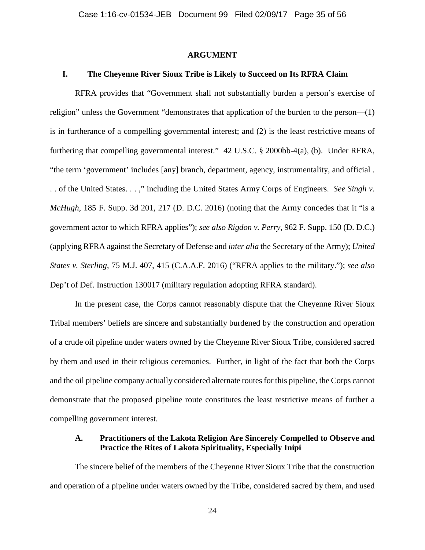## **ARGUMENT**

# **I. The Cheyenne River Sioux Tribe is Likely to Succeed on Its RFRA Claim**

RFRA provides that "Government shall not substantially burden a person's exercise of religion" unless the Government "demonstrates that application of the burden to the person—(1) is in furtherance of a compelling governmental interest; and (2) is the least restrictive means of furthering that compelling governmental interest." 42 U.S.C. § 2000bb-4(a), (b). Under RFRA, "the term 'government' includes [any] branch, department, agency, instrumentality, and official . . . of the United States. . . ," including the United States Army Corps of Engineers. *See Singh v. McHugh*, 185 F. Supp. 3d 201, 217 (D. D.C. 2016) (noting that the Army concedes that it "is a government actor to which RFRA applies"); *see also Rigdon v. Perry*, 962 F. Supp. 150 (D. D.C.) (applying RFRA against the Secretary of Defense and *inter alia* the Secretary of the Army); *United States v. Sterling*, 75 M.J. 407, 415 (C.A.A.F. 2016) ("RFRA applies to the military."); *see also*  Dep't of Def. Instruction 130017 (military regulation adopting RFRA standard).

In the present case, the Corps cannot reasonably dispute that the Cheyenne River Sioux Tribal members' beliefs are sincere and substantially burdened by the construction and operation of a crude oil pipeline under waters owned by the Cheyenne River Sioux Tribe, considered sacred by them and used in their religious ceremonies. Further, in light of the fact that both the Corps and the oil pipeline company actually considered alternate routes for this pipeline, the Corps cannot demonstrate that the proposed pipeline route constitutes the least restrictive means of further a compelling government interest.

# **A. Practitioners of the Lakota Religion Are Sincerely Compelled to Observe and Practice the Rites of Lakota Spirituality, Especially Inipi**

The sincere belief of the members of the Cheyenne River Sioux Tribe that the construction and operation of a pipeline under waters owned by the Tribe, considered sacred by them, and used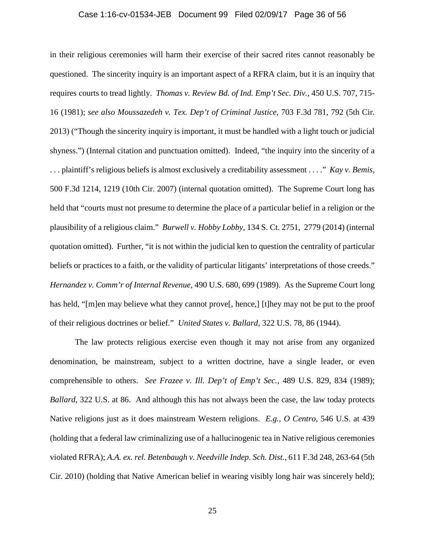## Case 1:16-cv-01534-JEB Document 99 Filed 02/09/17 Page 36 of 56

in their religious ceremonies will harm their exercise of their sacred rites cannot reasonably be questioned. The sincerity inquiry is an important aspect of a RFRA claim, but it is an inquiry that requires courts to tread lightly. *Thomas v. Review Bd. of Ind. Emp't Sec. Div.*, 450 U.S. 707, 715- 16 (1981); *see also Moussazedeh v. Tex. Dep't of Criminal Justice*, 703 F.3d 781, 792 (5th Cir. 2013) ("Though the sincerity inquiry is important, it must be handled with a light touch or judicial shyness.") (Internal citation and punctuation omitted). Indeed, "the inquiry into the sincerity of a . . . plaintiff's religious beliefs is almost exclusively a creditability assessment . . . ." *Kay v. Bemis*, 500 F.3d 1214, 1219 (10th Cir. 2007) (internal quotation omitted). The Supreme Court long has held that "courts must not presume to determine the place of a particular belief in a religion or the plausibility of a religious claim." *Burwell v. Hobby Lobby*, 134 S. Ct. 2751, 2779 (2014) (internal quotation omitted). Further, "it is not within the judicial ken to question the centrality of particular beliefs or practices to a faith, or the validity of particular litigants' interpretations of those creeds." *Hernandez v. Comm'r of Internal Revenue*, 490 U.S. 680, 699 (1989). As the Supreme Court long has held, "[m]en may believe what they cannot prove[, hence,] [t]hey may not be put to the proof of their religious doctrines or belief." *United States v. Ballard*, 322 U.S. 78, 86 (1944).

The law protects religious exercise even though it may not arise from any organized denomination, be mainstream, subject to a written doctrine, have a single leader, or even comprehensible to others. *See Frazee v. Ill. Dep't of Emp't Sec.*, 489 U.S. 829, 834 (1989); *Ballard*, 322 U.S. at 86. And although this has not always been the case, the law today protects Native religions just as it does mainstream Western religions. *E.g.*, *O Centro*, 546 U.S. at 439 (holding that a federal law criminalizing use of a hallucinogenic tea in Native religious ceremonies violated RFRA); *A.A. ex. rel. Betenbaugh v. Needville Indep. Sch. Dist.*, 611 F.3d 248, 263-64 (5th Cir. 2010) (holding that Native American belief in wearing visibly long hair was sincerely held);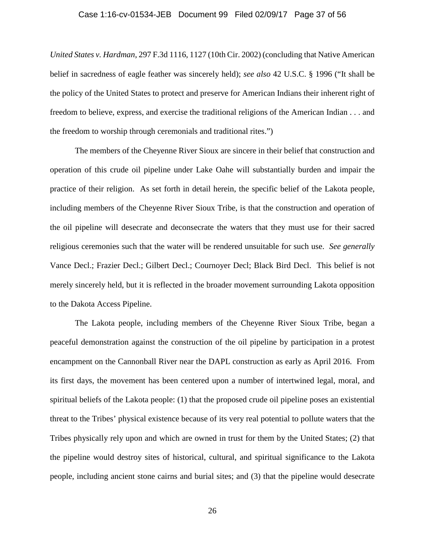## Case 1:16-cv-01534-JEB Document 99 Filed 02/09/17 Page 37 of 56

*United States v. Hardman*, 297 F.3d 1116, 1127 (10th Cir. 2002) (concluding that Native American belief in sacredness of eagle feather was sincerely held); *see also* 42 U.S.C. § 1996 ("It shall be the policy of the United States to protect and preserve for American Indians their inherent right of freedom to believe, express, and exercise the traditional religions of the American Indian . . . and the freedom to worship through ceremonials and traditional rites.")

The members of the Cheyenne River Sioux are sincere in their belief that construction and operation of this crude oil pipeline under Lake Oahe will substantially burden and impair the practice of their religion. As set forth in detail herein, the specific belief of the Lakota people, including members of the Cheyenne River Sioux Tribe, is that the construction and operation of the oil pipeline will desecrate and deconsecrate the waters that they must use for their sacred religious ceremonies such that the water will be rendered unsuitable for such use. *See generally*  Vance Decl.; Frazier Decl.; Gilbert Decl.; Cournoyer Decl; Black Bird Decl. This belief is not merely sincerely held, but it is reflected in the broader movement surrounding Lakota opposition to the Dakota Access Pipeline.

The Lakota people, including members of the Cheyenne River Sioux Tribe, began a peaceful demonstration against the construction of the oil pipeline by participation in a protest encampment on the Cannonball River near the DAPL construction as early as April 2016. From its first days, the movement has been centered upon a number of intertwined legal, moral, and spiritual beliefs of the Lakota people: (1) that the proposed crude oil pipeline poses an existential threat to the Tribes' physical existence because of its very real potential to pollute waters that the Tribes physically rely upon and which are owned in trust for them by the United States; (2) that the pipeline would destroy sites of historical, cultural, and spiritual significance to the Lakota people, including ancient stone cairns and burial sites; and (3) that the pipeline would desecrate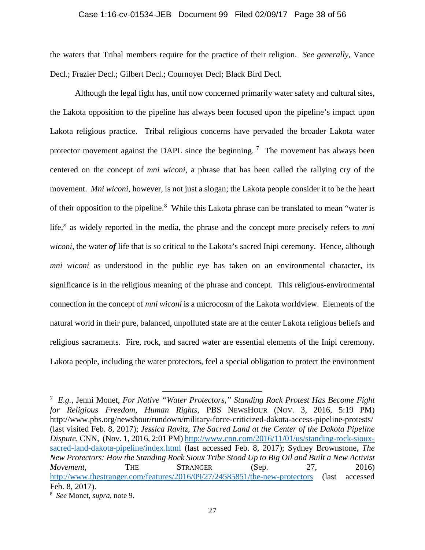#### Case 1:16-cv-01534-JEB Document 99 Filed 02/09/17 Page 38 of 56

the waters that Tribal members require for the practice of their religion. *See generally,* Vance Decl.; Frazier Decl.; Gilbert Decl.; Cournoyer Decl; Black Bird Decl.

Although the legal fight has, until now concerned primarily water safety and cultural sites, the Lakota opposition to the pipeline has always been focused upon the pipeline's impact upon Lakota religious practice. Tribal religious concerns have pervaded the broader Lakota water protector movement against the DAPL since the beginning.<sup>7</sup> The movement has always been centered on the concept of *mni wiconi*, a phrase that has been called the rallying cry of the movement. *Mni wiconi*, however, is not just a slogan; the Lakota people consider it to be the heart of their opposition to the pipeline.<sup>8</sup> While this Lakota phrase can be translated to mean "water is life," as widely reported in the media, the phrase and the concept more precisely refers to *mni wiconi*, the water *of* life that is so critical to the Lakota's sacred Inipi ceremony. Hence, although *mni wiconi* as understood in the public eye has taken on an environmental character, its significance is in the religious meaning of the phrase and concept. This religious-environmental connection in the concept of *mni wiconi* is a microcosm of the Lakota worldview. Elements of the natural world in their pure, balanced, unpolluted state are at the center Lakota religious beliefs and religious sacraments. Fire, rock, and sacred water are essential elements of the Inipi ceremony. Lakota people, including the water protectors, feel a special obligation to protect the environment

 <sup>7</sup> *E.g.*, Jenni Monet, *For Native "Water Protectors," Standing Rock Protest Has Become Fight for Religious Freedom, Human Rights*, PBS NEWSHOUR (NOV. 3, 2016, 5:19 PM) http://www.pbs.org/newshour/rundown/military-force-criticized-dakota-access-pipeline-protests/ (last visited Feb. 8, 2017); *Jessica Ravitz*, *The Sacred Land at the Center of the Dakota Pipeline Dispute*, CNN, (Nov. 1, 2016, 2:01 PM) http://www.cnn.com/2016/11/01/us/standing-rock-siouxsacred-land-dakota-pipeline/index.html (last accessed Feb. 8, 2017); Sydney Brownstone, *The New Protectors: How the Standing Rock Sioux Tribe Stood Up to Big Oil and Built a New Activist Movement*, THE STRANGER (Sep. 27, 2016) http://www.thestranger.com/features/2016/09/27/24585851/the-new-protectors (last accessed Feb. 8, 2017).

<sup>8</sup> *See* Monet, *supra,* note 9.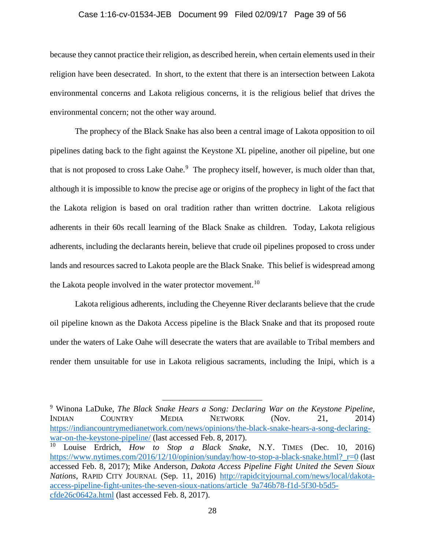## Case 1:16-cv-01534-JEB Document 99 Filed 02/09/17 Page 39 of 56

because they cannot practice their religion, as described herein, when certain elements used in their religion have been desecrated. In short, to the extent that there is an intersection between Lakota environmental concerns and Lakota religious concerns, it is the religious belief that drives the environmental concern; not the other way around.

The prophecy of the Black Snake has also been a central image of Lakota opposition to oil pipelines dating back to the fight against the Keystone XL pipeline, another oil pipeline, but one that is not proposed to cross Lake Oahe.<sup>9</sup> The prophecy itself, however, is much older than that, although it is impossible to know the precise age or origins of the prophecy in light of the fact that the Lakota religion is based on oral tradition rather than written doctrine. Lakota religious adherents in their 60s recall learning of the Black Snake as children. Today, Lakota religious adherents, including the declarants herein, believe that crude oil pipelines proposed to cross under lands and resources sacred to Lakota people are the Black Snake. This belief is widespread among the Lakota people involved in the water protector movement.<sup>10</sup>

Lakota religious adherents, including the Cheyenne River declarants believe that the crude oil pipeline known as the Dakota Access pipeline is the Black Snake and that its proposed route under the waters of Lake Oahe will desecrate the waters that are available to Tribal members and render them unsuitable for use in Lakota religious sacraments, including the Inipi, which is a

 9 Winona LaDuke, *The Black Snake Hears a Song: Declaring War on the Keystone Pipeline*, INDIAN COUNTRY MEDIA NETWORK (Nov. 21, 2014) https://indiancountrymedianetwork.com/news/opinions/the-black-snake-hears-a-song-declaringwar-on-the-keystone-pipeline/ (last accessed Feb. 8, 2017).

<sup>10</sup> Louise Erdrich, *How to Stop a Black Snake*, N.Y. TIMES (Dec. 10, 2016) https://www.nytimes.com/2016/12/10/opinion/sunday/how-to-stop-a-black-snake.html?\_r=0 (last accessed Feb. 8, 2017); Mike Anderson, *Dakota Access Pipeline Fight United the Seven Sioux Nations*, RAPID CITY JOURNAL (Sep. 11, 2016) http://rapidcityjournal.com/news/local/dakotaaccess-pipeline-fight-unites-the-seven-sioux-nations/article 9a746b78-f1d-5f30-b5d5 cfde26c0642a.html (last accessed Feb. 8, 2017).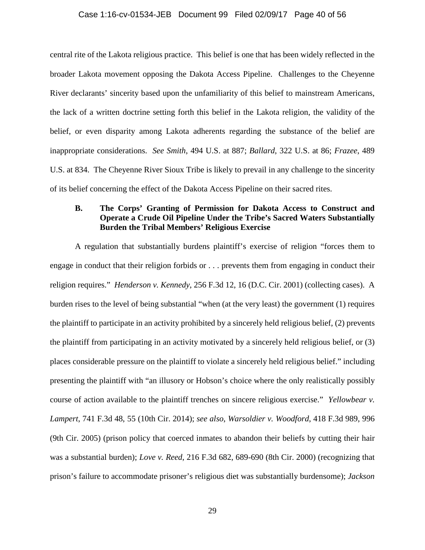### Case 1:16-cv-01534-JEB Document 99 Filed 02/09/17 Page 40 of 56

central rite of the Lakota religious practice. This belief is one that has been widely reflected in the broader Lakota movement opposing the Dakota Access Pipeline. Challenges to the Cheyenne River declarants' sincerity based upon the unfamiliarity of this belief to mainstream Americans, the lack of a written doctrine setting forth this belief in the Lakota religion, the validity of the belief, or even disparity among Lakota adherents regarding the substance of the belief are inappropriate considerations. *See Smith*, 494 U.S. at 887; *Ballard*, 322 U.S. at 86; *Frazee*, 489 U.S. at 834. The Cheyenne River Sioux Tribe is likely to prevail in any challenge to the sincerity of its belief concerning the effect of the Dakota Access Pipeline on their sacred rites.

# **B. The Corps' Granting of Permission for Dakota Access to Construct and Operate a Crude Oil Pipeline Under the Tribe's Sacred Waters Substantially Burden the Tribal Members' Religious Exercise**

A regulation that substantially burdens plaintiff's exercise of religion "forces them to engage in conduct that their religion forbids or . . . prevents them from engaging in conduct their religion requires." *Henderson v. Kennedy*, 256 F.3d 12, 16 (D.C. Cir. 2001) (collecting cases). A burden rises to the level of being substantial "when (at the very least) the government (1) requires the plaintiff to participate in an activity prohibited by a sincerely held religious belief, (2) prevents the plaintiff from participating in an activity motivated by a sincerely held religious belief, or (3) places considerable pressure on the plaintiff to violate a sincerely held religious belief." including presenting the plaintiff with "an illusory or Hobson's choice where the only realistically possibly course of action available to the plaintiff trenches on sincere religious exercise." *Yellowbear v. Lampert*, 741 F.3d 48, 55 (10th Cir. 2014); *see also*, *Warsoldier v. Woodford*, 418 F.3d 989, 996 (9th Cir. 2005) (prison policy that coerced inmates to abandon their beliefs by cutting their hair was a substantial burden); *Love v. Reed*, 216 F.3d 682, 689-690 (8th Cir. 2000) (recognizing that prison's failure to accommodate prisoner's religious diet was substantially burdensome); *Jackson*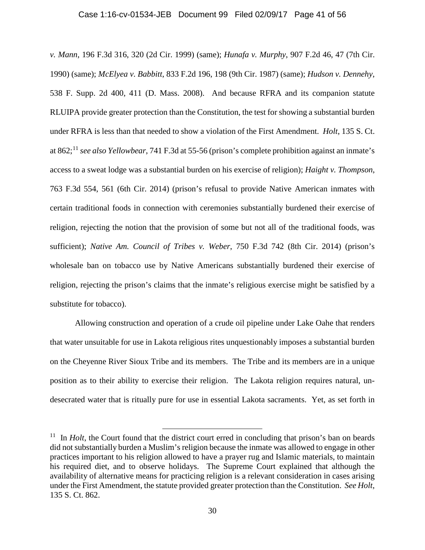#### Case 1:16-cv-01534-JEB Document 99 Filed 02/09/17 Page 41 of 56

*v. Mann*, 196 F.3d 316, 320 (2d Cir. 1999) (same); *Hunafa v. Murphy*, 907 F.2d 46, 47 (7th Cir. 1990) (same); *McElyea v. Babbitt*, 833 F.2d 196, 198 (9th Cir. 1987) (same); *Hudson v. Dennehy*, 538 F. Supp. 2d 400, 411 (D. Mass. 2008). And because RFRA and its companion statute RLUIPA provide greater protection than the Constitution, the test for showing a substantial burden under RFRA is less than that needed to show a violation of the First Amendment. *Holt*, 135 S. Ct. at 862; <sup>11</sup> *see also Yellowbear*, 741 F.3d at 55-56 (prison's complete prohibition against an inmate's access to a sweat lodge was a substantial burden on his exercise of religion); *Haight v. Thompson*, 763 F.3d 554, 561 (6th Cir. 2014) (prison's refusal to provide Native American inmates with certain traditional foods in connection with ceremonies substantially burdened their exercise of religion, rejecting the notion that the provision of some but not all of the traditional foods, was sufficient); *Native Am. Council of Tribes v. Weber*, 750 F.3d 742 (8th Cir. 2014) (prison's wholesale ban on tobacco use by Native Americans substantially burdened their exercise of religion, rejecting the prison's claims that the inmate's religious exercise might be satisfied by a substitute for tobacco).

Allowing construction and operation of a crude oil pipeline under Lake Oahe that renders that water unsuitable for use in Lakota religious rites unquestionably imposes a substantial burden on the Cheyenne River Sioux Tribe and its members. The Tribe and its members are in a unique position as to their ability to exercise their religion. The Lakota religion requires natural, undesecrated water that is ritually pure for use in essential Lakota sacraments. Yet, as set forth in

<sup>&</sup>lt;sup>11</sup> In *Holt*, the Court found that the district court erred in concluding that prison's ban on beards did not substantially burden a Muslim's religion because the inmate was allowed to engage in other practices important to his religion allowed to have a prayer rug and Islamic materials, to maintain his required diet, and to observe holidays. The Supreme Court explained that although the availability of alternative means for practicing religion is a relevant consideration in cases arising under the First Amendment, the statute provided greater protection than the Constitution. *See Holt*, 135 S. Ct. 862.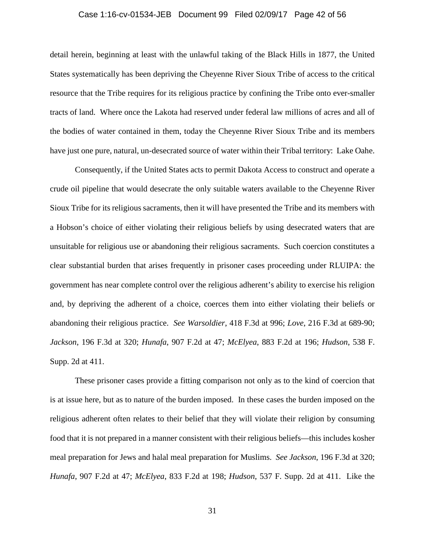#### Case 1:16-cv-01534-JEB Document 99 Filed 02/09/17 Page 42 of 56

detail herein, beginning at least with the unlawful taking of the Black Hills in 1877, the United States systematically has been depriving the Cheyenne River Sioux Tribe of access to the critical resource that the Tribe requires for its religious practice by confining the Tribe onto ever-smaller tracts of land. Where once the Lakota had reserved under federal law millions of acres and all of the bodies of water contained in them, today the Cheyenne River Sioux Tribe and its members have just one pure, natural, un-desecrated source of water within their Tribal territory: Lake Oahe.

Consequently, if the United States acts to permit Dakota Access to construct and operate a crude oil pipeline that would desecrate the only suitable waters available to the Cheyenne River Sioux Tribe for its religious sacraments, then it will have presented the Tribe and its members with a Hobson's choice of either violating their religious beliefs by using desecrated waters that are unsuitable for religious use or abandoning their religious sacraments. Such coercion constitutes a clear substantial burden that arises frequently in prisoner cases proceeding under RLUIPA: the government has near complete control over the religious adherent's ability to exercise his religion and, by depriving the adherent of a choice, coerces them into either violating their beliefs or abandoning their religious practice. *See Warsoldier*, 418 F.3d at 996; *Love*, 216 F.3d at 689-90; *Jackson*, 196 F.3d at 320; *Hunafa*, 907 F.2d at 47; *McElyea*, 883 F.2d at 196; *Hudson*, 538 F. Supp. 2d at 411.

These prisoner cases provide a fitting comparison not only as to the kind of coercion that is at issue here, but as to nature of the burden imposed. In these cases the burden imposed on the religious adherent often relates to their belief that they will violate their religion by consuming food that it is not prepared in a manner consistent with their religious beliefs—this includes kosher meal preparation for Jews and halal meal preparation for Muslims. *See Jackson*, 196 F.3d at 320; *Hunafa*, 907 F.2d at 47; *McElyea*, 833 F.2d at 198; *Hudson*, 537 F. Supp. 2d at 411. Like the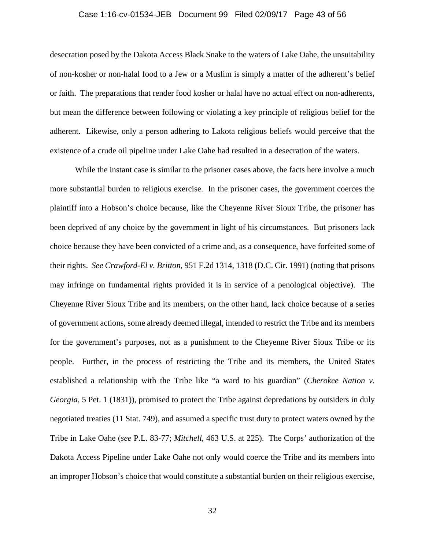#### Case 1:16-cv-01534-JEB Document 99 Filed 02/09/17 Page 43 of 56

desecration posed by the Dakota Access Black Snake to the waters of Lake Oahe, the unsuitability of non-kosher or non-halal food to a Jew or a Muslim is simply a matter of the adherent's belief or faith. The preparations that render food kosher or halal have no actual effect on non-adherents, but mean the difference between following or violating a key principle of religious belief for the adherent. Likewise, only a person adhering to Lakota religious beliefs would perceive that the existence of a crude oil pipeline under Lake Oahe had resulted in a desecration of the waters.

While the instant case is similar to the prisoner cases above, the facts here involve a much more substantial burden to religious exercise. In the prisoner cases, the government coerces the plaintiff into a Hobson's choice because, like the Cheyenne River Sioux Tribe, the prisoner has been deprived of any choice by the government in light of his circumstances. But prisoners lack choice because they have been convicted of a crime and, as a consequence, have forfeited some of their rights. *See Crawford-El v. Britton*, 951 F.2d 1314, 1318 (D.C. Cir. 1991) (noting that prisons may infringe on fundamental rights provided it is in service of a penological objective). The Cheyenne River Sioux Tribe and its members, on the other hand, lack choice because of a series of government actions, some already deemed illegal, intended to restrict the Tribe and its members for the government's purposes, not as a punishment to the Cheyenne River Sioux Tribe or its people. Further, in the process of restricting the Tribe and its members, the United States established a relationship with the Tribe like "a ward to his guardian" (*Cherokee Nation v. Georgia*, 5 Pet. 1 (1831)), promised to protect the Tribe against depredations by outsiders in duly negotiated treaties (11 Stat. 749), and assumed a specific trust duty to protect waters owned by the Tribe in Lake Oahe (*see* P.L. 83-77; *Mitchell*, 463 U.S. at 225). The Corps' authorization of the Dakota Access Pipeline under Lake Oahe not only would coerce the Tribe and its members into an improper Hobson's choice that would constitute a substantial burden on their religious exercise,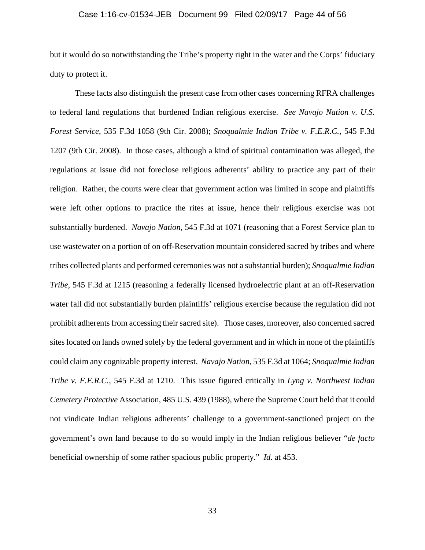#### Case 1:16-cv-01534-JEB Document 99 Filed 02/09/17 Page 44 of 56

but it would do so notwithstanding the Tribe's property right in the water and the Corps' fiduciary duty to protect it.

These facts also distinguish the present case from other cases concerning RFRA challenges to federal land regulations that burdened Indian religious exercise. *See Navajo Nation v. U.S. Forest Service*, 535 F.3d 1058 (9th Cir. 2008); *Snoqualmie Indian Tribe v. F.E.R.C.*, 545 F.3d 1207 (9th Cir. 2008). In those cases, although a kind of spiritual contamination was alleged, the regulations at issue did not foreclose religious adherents' ability to practice any part of their religion. Rather, the courts were clear that government action was limited in scope and plaintiffs were left other options to practice the rites at issue, hence their religious exercise was not substantially burdened. *Navajo Nation*, 545 F.3d at 1071 (reasoning that a Forest Service plan to use wastewater on a portion of on off-Reservation mountain considered sacred by tribes and where tribes collected plants and performed ceremonies was not a substantial burden); *Snoqualmie Indian Tribe*, 545 F.3d at 1215 (reasoning a federally licensed hydroelectric plant at an off-Reservation water fall did not substantially burden plaintiffs' religious exercise because the regulation did not prohibit adherents from accessing their sacred site). Those cases, moreover, also concerned sacred sites located on lands owned solely by the federal government and in which in none of the plaintiffs could claim any cognizable property interest. *Navajo Nation*, 535 F.3d at 1064; *Snoqualmie Indian Tribe v. F.E.R.C.*, 545 F.3d at 1210. This issue figured critically in *Lyng v. Northwest Indian Cemetery Protective* Association, 485 U.S. 439 (1988), where the Supreme Court held that it could not vindicate Indian religious adherents' challenge to a government-sanctioned project on the government's own land because to do so would imply in the Indian religious believer "*de facto*  beneficial ownership of some rather spacious public property." *Id*. at 453.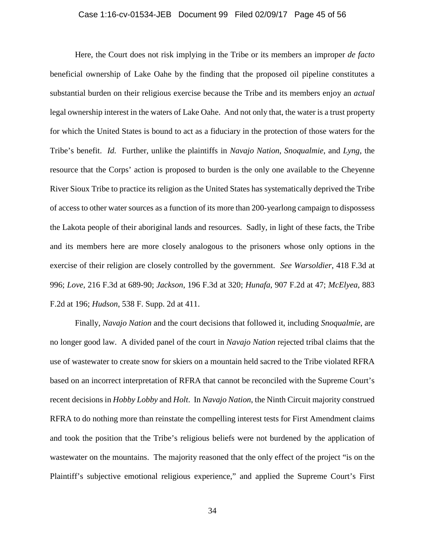#### Case 1:16-cv-01534-JEB Document 99 Filed 02/09/17 Page 45 of 56

Here, the Court does not risk implying in the Tribe or its members an improper *de facto*  beneficial ownership of Lake Oahe by the finding that the proposed oil pipeline constitutes a substantial burden on their religious exercise because the Tribe and its members enjoy an *actual*  legal ownership interest in the waters of Lake Oahe. And not only that, the water is a trust property for which the United States is bound to act as a fiduciary in the protection of those waters for the Tribe's benefit. *Id.* Further, unlike the plaintiffs in *Navajo Nation*, *Snoqualmie*, and *Lyng*, the resource that the Corps' action is proposed to burden is the only one available to the Cheyenne River Sioux Tribe to practice its religion as the United States has systematically deprived the Tribe of access to other water sources as a function of its more than 200-yearlong campaign to dispossess the Lakota people of their aboriginal lands and resources. Sadly, in light of these facts, the Tribe and its members here are more closely analogous to the prisoners whose only options in the exercise of their religion are closely controlled by the government. *See Warsoldier*, 418 F.3d at 996; *Love*, 216 F.3d at 689-90; *Jackson*, 196 F.3d at 320; *Hunafa*, 907 F.2d at 47; *McElyea*, 883 F.2d at 196; *Hudson*, 538 F. Supp. 2d at 411.

Finally, *Navajo Nation* and the court decisions that followed it, including *Snoqualmie*, are no longer good law. A divided panel of the court in *Navajo Nation* rejected tribal claims that the use of wastewater to create snow for skiers on a mountain held sacred to the Tribe violated RFRA based on an incorrect interpretation of RFRA that cannot be reconciled with the Supreme Court's recent decisions in *Hobby Lobby* and *Holt*. In *Navajo Nation*, the Ninth Circuit majority construed RFRA to do nothing more than reinstate the compelling interest tests for First Amendment claims and took the position that the Tribe's religious beliefs were not burdened by the application of wastewater on the mountains. The majority reasoned that the only effect of the project "is on the Plaintiff's subjective emotional religious experience," and applied the Supreme Court's First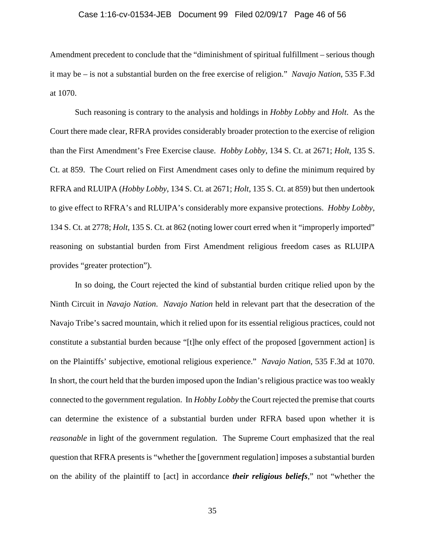## Case 1:16-cv-01534-JEB Document 99 Filed 02/09/17 Page 46 of 56

Amendment precedent to conclude that the "diminishment of spiritual fulfillment – serious though it may be – is not a substantial burden on the free exercise of religion." *Navajo Nation*, 535 F.3d at 1070.

Such reasoning is contrary to the analysis and holdings in *Hobby Lobby* and *Holt*. As the Court there made clear, RFRA provides considerably broader protection to the exercise of religion than the First Amendment's Free Exercise clause. *Hobby Lobby*, 134 S. Ct. at 2671; *Holt*, 135 S. Ct. at 859. The Court relied on First Amendment cases only to define the minimum required by RFRA and RLUIPA (*Hobby Lobby*, 134 S. Ct. at 2671; *Holt*, 135 S. Ct. at 859) but then undertook to give effect to RFRA's and RLUIPA's considerably more expansive protections. *Hobby Lobby*, 134 S. Ct. at 2778; *Holt*, 135 S. Ct. at 862 (noting lower court erred when it "improperly imported" reasoning on substantial burden from First Amendment religious freedom cases as RLUIPA provides "greater protection").

In so doing, the Court rejected the kind of substantial burden critique relied upon by the Ninth Circuit in *Navajo Nation*. *Navajo Nation* held in relevant part that the desecration of the Navajo Tribe's sacred mountain, which it relied upon for its essential religious practices, could not constitute a substantial burden because "[t]he only effect of the proposed [government action] is on the Plaintiffs' subjective, emotional religious experience." *Navajo Nation*, 535 F.3d at 1070. In short, the court held that the burden imposed upon the Indian's religious practice was too weakly connected to the government regulation. In *Hobby Lobby* the Court rejected the premise that courts can determine the existence of a substantial burden under RFRA based upon whether it is *reasonable* in light of the government regulation. The Supreme Court emphasized that the real question that RFRA presents is "whether the [government regulation] imposes a substantial burden on the ability of the plaintiff to [act] in accordance *their religious beliefs*," not "whether the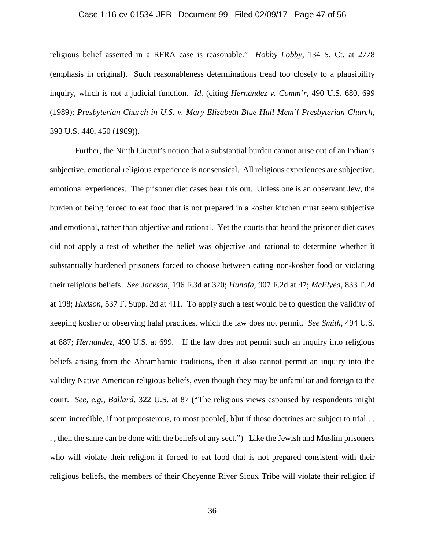#### Case 1:16-cv-01534-JEB Document 99 Filed 02/09/17 Page 47 of 56

religious belief asserted in a RFRA case is reasonable." *Hobby Lobby*, 134 S. Ct. at 2778 (emphasis in original). Such reasonableness determinations tread too closely to a plausibility inquiry, which is not a judicial function. *Id.* (citing *Hernandez v. Comm'r*, 490 U.S. 680, 699 (1989); *Presbyterian Church in U.S. v. Mary Elizabeth Blue Hull Mem'l Presbyterian Church*, 393 U.S. 440, 450 (1969)).

Further, the Ninth Circuit's notion that a substantial burden cannot arise out of an Indian's subjective, emotional religious experience is nonsensical. All religious experiences are subjective, emotional experiences. The prisoner diet cases bear this out. Unless one is an observant Jew, the burden of being forced to eat food that is not prepared in a kosher kitchen must seem subjective and emotional, rather than objective and rational. Yet the courts that heard the prisoner diet cases did not apply a test of whether the belief was objective and rational to determine whether it substantially burdened prisoners forced to choose between eating non-kosher food or violating their religious beliefs. *See Jackson*, 196 F.3d at 320; *Hunafa*, 907 F.2d at 47; *McElyea*, 833 F.2d at 198; *Hudson*, 537 F. Supp. 2d at 411. To apply such a test would be to question the validity of keeping kosher or observing halal practices, which the law does not permit. *See Smith*, 494 U.S. at 887; *Hernandez*, 490 U.S. at 699. If the law does not permit such an inquiry into religious beliefs arising from the Abramhamic traditions, then it also cannot permit an inquiry into the validity Native American religious beliefs, even though they may be unfamiliar and foreign to the court. *See, e.g., Ballard*, 322 U.S. at 87 ("The religious views espoused by respondents might seem incredible, if not preposterous, to most people[, b]ut if those doctrines are subject to trial . . . , then the same can be done with the beliefs of any sect.") Like the Jewish and Muslim prisoners who will violate their religion if forced to eat food that is not prepared consistent with their religious beliefs, the members of their Cheyenne River Sioux Tribe will violate their religion if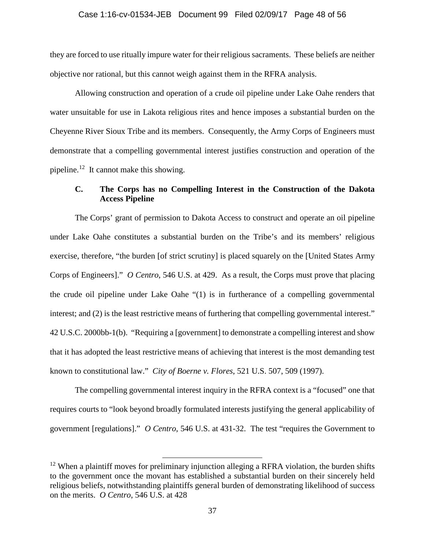# Case 1:16-cv-01534-JEB Document 99 Filed 02/09/17 Page 48 of 56

they are forced to use ritually impure water for their religious sacraments. These beliefs are neither objective nor rational, but this cannot weigh against them in the RFRA analysis.

Allowing construction and operation of a crude oil pipeline under Lake Oahe renders that water unsuitable for use in Lakota religious rites and hence imposes a substantial burden on the Cheyenne River Sioux Tribe and its members. Consequently, the Army Corps of Engineers must demonstrate that a compelling governmental interest justifies construction and operation of the pipeline.<sup>12</sup> It cannot make this showing.

# **C. The Corps has no Compelling Interest in the Construction of the Dakota Access Pipeline**

The Corps' grant of permission to Dakota Access to construct and operate an oil pipeline under Lake Oahe constitutes a substantial burden on the Tribe's and its members' religious exercise, therefore, "the burden [of strict scrutiny] is placed squarely on the [United States Army Corps of Engineers]." *O Centro*, 546 U.S. at 429. As a result, the Corps must prove that placing the crude oil pipeline under Lake Oahe "(1) is in furtherance of a compelling governmental interest; and (2) is the least restrictive means of furthering that compelling governmental interest." 42 U.S.C. 2000bb-1(b). "Requiring a [government] to demonstrate a compelling interest and show that it has adopted the least restrictive means of achieving that interest is the most demanding test known to constitutional law." *City of Boerne v. Flores*, 521 U.S. 507, 509 (1997).

The compelling governmental interest inquiry in the RFRA context is a "focused" one that requires courts to "look beyond broadly formulated interests justifying the general applicability of government [regulations]." *O Centro*, 546 U.S. at 431-32. The test "requires the Government to

 $12$  When a plaintiff moves for preliminary injunction alleging a RFRA violation, the burden shifts to the government once the movant has established a substantial burden on their sincerely held religious beliefs, notwithstanding plaintiffs general burden of demonstrating likelihood of success on the merits. *O Centro*, 546 U.S. at 428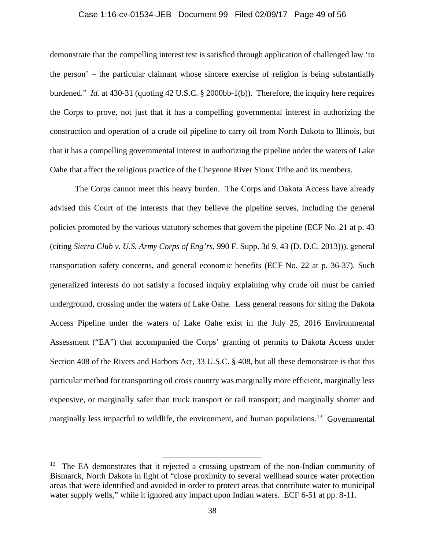## Case 1:16-cv-01534-JEB Document 99 Filed 02/09/17 Page 49 of 56

demonstrate that the compelling interest test is satisfied through application of challenged law 'to the person' – the particular claimant whose sincere exercise of religion is being substantially burdened." *Id.* at 430-31 (quoting 42 U.S.C. § 2000bb-1(b)). Therefore, the inquiry here requires the Corps to prove, not just that it has a compelling governmental interest in authorizing the construction and operation of a crude oil pipeline to carry oil from North Dakota to Illinois, but that it has a compelling governmental interest in authorizing the pipeline under the waters of Lake Oahe that affect the religious practice of the Cheyenne River Sioux Tribe and its members.

The Corps cannot meet this heavy burden. The Corps and Dakota Access have already advised this Court of the interests that they believe the pipeline serves, including the general policies promoted by the various statutory schemes that govern the pipeline (ECF No. 21 at p. 43 (citing *Sierra Club v. U.S. Army Corps of Eng'rs*, 990 F. Supp. 3d 9, 43 (D. D.C. 2013))), general transportation safety concerns, and general economic benefits (ECF No. 22 at p. 36-37). Such generalized interests do not satisfy a focused inquiry explaining why crude oil must be carried underground, crossing under the waters of Lake Oahe. Less general reasons for siting the Dakota Access Pipeline under the waters of Lake Oahe exist in the July 25, 2016 Environmental Assessment ("EA") that accompanied the Corps' granting of permits to Dakota Access under Section 408 of the Rivers and Harbors Act, 33 U.S.C. § 408, but all these demonstrate is that this particular method for transporting oil cross country was marginally more efficient, marginally less expensive, or marginally safer than truck transport or rail transport; and marginally shorter and marginally less impactful to wildlife, the environment, and human populations.<sup>13</sup> Governmental

 $13$  The EA demonstrates that it rejected a crossing upstream of the non-Indian community of Bismarck, North Dakota in light of "close proximity to several wellhead source water protection areas that were identified and avoided in order to protect areas that contribute water to municipal water supply wells," while it ignored any impact upon Indian waters. ECF 6-51 at pp. 8-11.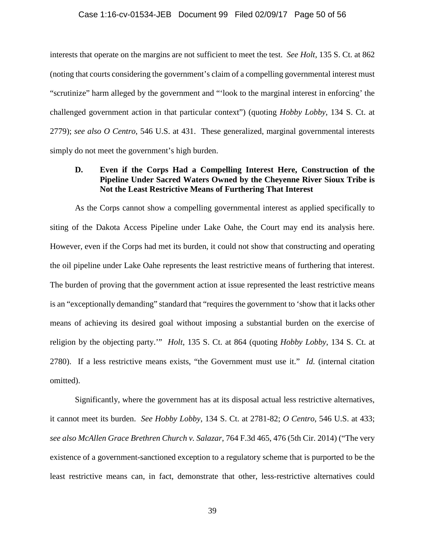# Case 1:16-cv-01534-JEB Document 99 Filed 02/09/17 Page 50 of 56

interests that operate on the margins are not sufficient to meet the test. *See Holt*, 135 S. Ct. at 862 (noting that courts considering the government's claim of a compelling governmental interest must "scrutinize" harm alleged by the government and "'look to the marginal interest in enforcing' the challenged government action in that particular context") (quoting *Hobby Lobby*, 134 S. Ct. at 2779); *see also O Centro*, 546 U.S. at 431. These generalized, marginal governmental interests simply do not meet the government's high burden.

# **D. Even if the Corps Had a Compelling Interest Here, Construction of the Pipeline Under Sacred Waters Owned by the Cheyenne River Sioux Tribe is Not the Least Restrictive Means of Furthering That Interest**

As the Corps cannot show a compelling governmental interest as applied specifically to siting of the Dakota Access Pipeline under Lake Oahe, the Court may end its analysis here. However, even if the Corps had met its burden, it could not show that constructing and operating the oil pipeline under Lake Oahe represents the least restrictive means of furthering that interest. The burden of proving that the government action at issue represented the least restrictive means is an "exceptionally demanding" standard that "requires the government to 'show that it lacks other means of achieving its desired goal without imposing a substantial burden on the exercise of religion by the objecting party.'" *Holt*, 135 S. Ct. at 864 (quoting *Hobby Lobby*, 134 S. Ct. at 2780). If a less restrictive means exists, "the Government must use it." *Id.* (internal citation omitted).

Significantly, where the government has at its disposal actual less restrictive alternatives, it cannot meet its burden. *See Hobby Lobby*, 134 S. Ct. at 2781-82; *O Centro*, 546 U.S. at 433; *see also McAllen Grace Brethren Church v. Salazar*, 764 F.3d 465, 476 (5th Cir. 2014) ("The very existence of a government-sanctioned exception to a regulatory scheme that is purported to be the least restrictive means can, in fact, demonstrate that other, less-restrictive alternatives could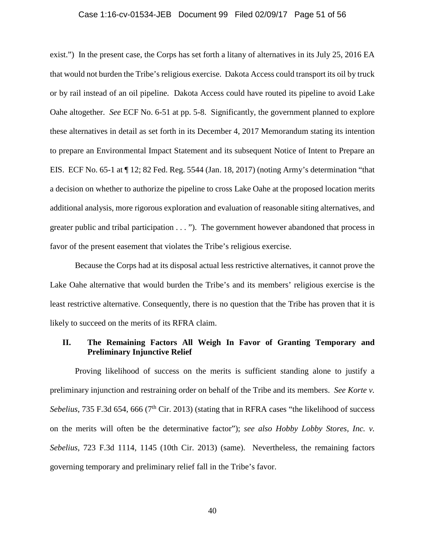#### Case 1:16-cv-01534-JEB Document 99 Filed 02/09/17 Page 51 of 56

exist.") In the present case, the Corps has set forth a litany of alternatives in its July 25, 2016 EA that would not burden the Tribe's religious exercise. Dakota Access could transport its oil by truck or by rail instead of an oil pipeline. Dakota Access could have routed its pipeline to avoid Lake Oahe altogether. *See* ECF No. 6-51 at pp. 5-8. Significantly, the government planned to explore these alternatives in detail as set forth in its December 4, 2017 Memorandum stating its intention to prepare an Environmental Impact Statement and its subsequent Notice of Intent to Prepare an EIS. ECF No. 65-1 at ¶ 12; 82 Fed. Reg. 5544 (Jan. 18, 2017) (noting Army's determination "that a decision on whether to authorize the pipeline to cross Lake Oahe at the proposed location merits additional analysis, more rigorous exploration and evaluation of reasonable siting alternatives, and greater public and tribal participation . . . "). The government however abandoned that process in favor of the present easement that violates the Tribe's religious exercise.

Because the Corps had at its disposal actual less restrictive alternatives, it cannot prove the Lake Oahe alternative that would burden the Tribe's and its members' religious exercise is the least restrictive alternative. Consequently, there is no question that the Tribe has proven that it is likely to succeed on the merits of its RFRA claim.

# **II. The Remaining Factors All Weigh In Favor of Granting Temporary and Preliminary Injunctive Relief**

Proving likelihood of success on the merits is sufficient standing alone to justify a preliminary injunction and restraining order on behalf of the Tribe and its members. *See Korte v. Sebelius*, 735 F.3d 654, 666 (7<sup>th</sup> Cir. 2013) (stating that in RFRA cases "the likelihood of success on the merits will often be the determinative factor"); *see also Hobby Lobby Stores, Inc. v. Sebelius*, 723 F.3d 1114, 1145 (10th Cir. 2013) (same). Nevertheless, the remaining factors governing temporary and preliminary relief fall in the Tribe's favor.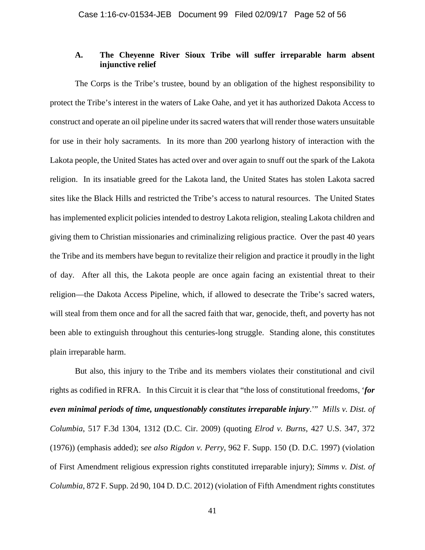# **A. The Cheyenne River Sioux Tribe will suffer irreparable harm absent injunctive relief**

The Corps is the Tribe's trustee, bound by an obligation of the highest responsibility to protect the Tribe's interest in the waters of Lake Oahe, and yet it has authorized Dakota Access to construct and operate an oil pipeline under its sacred waters that will render those waters unsuitable for use in their holy sacraments. In its more than 200 yearlong history of interaction with the Lakota people, the United States has acted over and over again to snuff out the spark of the Lakota religion. In its insatiable greed for the Lakota land, the United States has stolen Lakota sacred sites like the Black Hills and restricted the Tribe's access to natural resources. The United States has implemented explicit policies intended to destroy Lakota religion, stealing Lakota children and giving them to Christian missionaries and criminalizing religious practice. Over the past 40 years the Tribe and its members have begun to revitalize their religion and practice it proudly in the light of day. After all this, the Lakota people are once again facing an existential threat to their religion—the Dakota Access Pipeline, which, if allowed to desecrate the Tribe's sacred waters, will steal from them once and for all the sacred faith that war, genocide, theft, and poverty has not been able to extinguish throughout this centuries-long struggle. Standing alone, this constitutes plain irreparable harm.

But also, this injury to the Tribe and its members violates their constitutional and civil rights as codified in RFRA. In this Circuit it is clear that "the loss of constitutional freedoms, '*for even minimal periods of time, unquestionably constitutes irreparable injury*.'" *Mills v. Dist. of Columbia*, 517 F.3d 1304, 1312 (D.C. Cir. 2009) (quoting *Elrod v. Burns*, 427 U.S. 347, 372 (1976)) (emphasis added); s*ee also Rigdon v. Perry*, 962 F. Supp. 150 (D. D.C. 1997) (violation of First Amendment religious expression rights constituted irreparable injury); *Simms v. Dist. of Columbia*, 872 F. Supp. 2d 90, 104 D. D.C. 2012) (violation of Fifth Amendment rights constitutes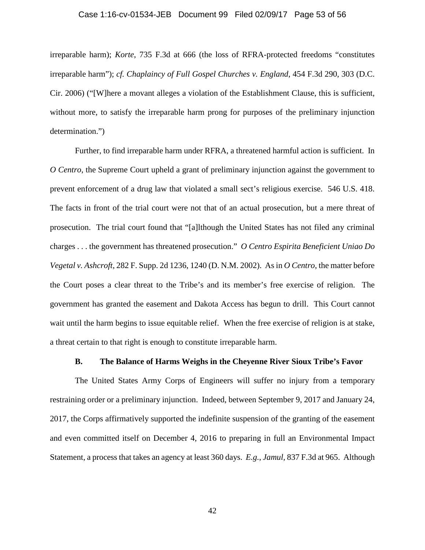## Case 1:16-cv-01534-JEB Document 99 Filed 02/09/17 Page 53 of 56

irreparable harm); *Korte*, 735 F.3d at 666 (the loss of RFRA-protected freedoms "constitutes irreparable harm"); *cf. Chaplaincy of Full Gospel Churches v. England*, 454 F.3d 290, 303 (D.C. Cir. 2006) ("[W]here a movant alleges a violation of the Establishment Clause, this is sufficient, without more, to satisfy the irreparable harm prong for purposes of the preliminary injunction determination.")

Further, to find irreparable harm under RFRA, a threatened harmful action is sufficient. In *O Centro*, the Supreme Court upheld a grant of preliminary injunction against the government to prevent enforcement of a drug law that violated a small sect's religious exercise. 546 U.S. 418. The facts in front of the trial court were not that of an actual prosecution, but a mere threat of prosecution. The trial court found that "[a]lthough the United States has not filed any criminal charges . . . the government has threatened prosecution." *O Centro Espirita Beneficient Uniao Do Vegetal v. Ashcroft*, 282 F. Supp. 2d 1236, 1240 (D. N.M. 2002). As in *O Centro*, the matter before the Court poses a clear threat to the Tribe's and its member's free exercise of religion. The government has granted the easement and Dakota Access has begun to drill. This Court cannot wait until the harm begins to issue equitable relief. When the free exercise of religion is at stake, a threat certain to that right is enough to constitute irreparable harm.

## **B. The Balance of Harms Weighs in the Cheyenne River Sioux Tribe's Favor**

The United States Army Corps of Engineers will suffer no injury from a temporary restraining order or a preliminary injunction. Indeed, between September 9, 2017 and January 24, 2017, the Corps affirmatively supported the indefinite suspension of the granting of the easement and even committed itself on December 4, 2016 to preparing in full an Environmental Impact Statement, a process that takes an agency at least 360 days. *E.g.*, *Jamul,* 837 F.3d at 965. Although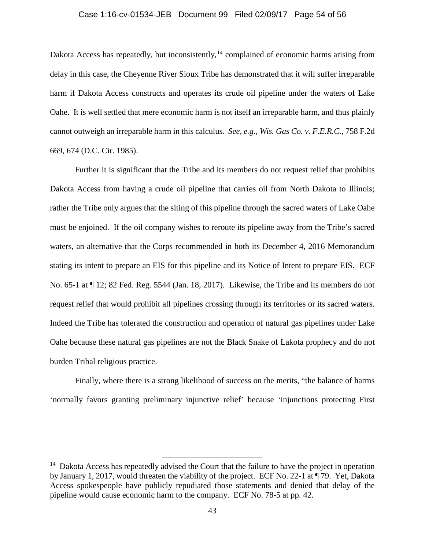## Case 1:16-cv-01534-JEB Document 99 Filed 02/09/17 Page 54 of 56

Dakota Access has repeatedly, but inconsistently,<sup>14</sup> complained of economic harms arising from delay in this case, the Cheyenne River Sioux Tribe has demonstrated that it will suffer irreparable harm if Dakota Access constructs and operates its crude oil pipeline under the waters of Lake Oahe. It is well settled that mere economic harm is not itself an irreparable harm, and thus plainly cannot outweigh an irreparable harm in this calculus. *See, e.g., Wis. Gas Co. v. F.E.R.C.*, 758 F.2d 669, 674 (D.C. Cir. 1985).

Further it is significant that the Tribe and its members do not request relief that prohibits Dakota Access from having a crude oil pipeline that carries oil from North Dakota to Illinois; rather the Tribe only argues that the siting of this pipeline through the sacred waters of Lake Oahe must be enjoined. If the oil company wishes to reroute its pipeline away from the Tribe's sacred waters, an alternative that the Corps recommended in both its December 4, 2016 Memorandum stating its intent to prepare an EIS for this pipeline and its Notice of Intent to prepare EIS. ECF No. 65-1 at ¶ 12; 82 Fed. Reg. 5544 (Jan. 18, 2017). Likewise, the Tribe and its members do not request relief that would prohibit all pipelines crossing through its territories or its sacred waters. Indeed the Tribe has tolerated the construction and operation of natural gas pipelines under Lake Oahe because these natural gas pipelines are not the Black Snake of Lakota prophecy and do not burden Tribal religious practice.

Finally, where there is a strong likelihood of success on the merits, "the balance of harms 'normally favors granting preliminary injunctive relief' because 'injunctions protecting First

<sup>&</sup>lt;sup>14</sup> Dakota Access has repeatedly advised the Court that the failure to have the project in operation by January 1, 2017, would threaten the viability of the project. ECF No. 22-1 at ¶ 79. Yet, Dakota Access spokespeople have publicly repudiated those statements and denied that delay of the pipeline would cause economic harm to the company. ECF No. 78-5 at pp. 42.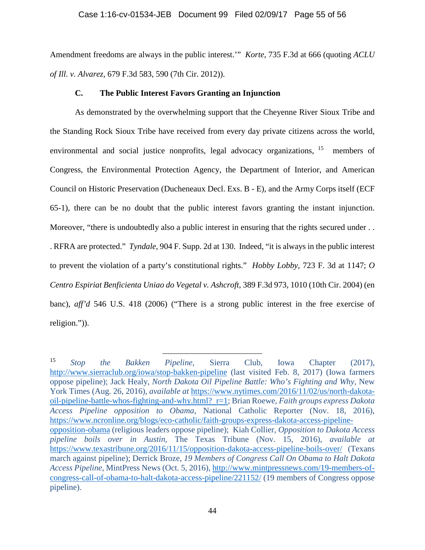## Case 1:16-cv-01534-JEB Document 99 Filed 02/09/17 Page 55 of 56

Amendment freedoms are always in the public interest.'" *Korte*, 735 F.3d at 666 (quoting *ACLU of Ill. v. Alvarez*, 679 F.3d 583, 590 (7th Cir. 2012)).

# **C. The Public Interest Favors Granting an Injunction**

As demonstrated by the overwhelming support that the Cheyenne River Sioux Tribe and the Standing Rock Sioux Tribe have received from every day private citizens across the world, environmental and social justice nonprofits, legal advocacy organizations, <sup>15</sup> members of Congress, the Environmental Protection Agency, the Department of Interior, and American Council on Historic Preservation (Ducheneaux Decl. Exs. B - E), and the Army Corps itself (ECF 65-1), there can be no doubt that the public interest favors granting the instant injunction. Moreover, "there is undoubtedly also a public interest in ensuring that the rights secured under ... . RFRA are protected." *Tyndale*, 904 F. Supp. 2d at 130. Indeed, "it is always in the public interest to prevent the violation of a party's constitutional rights." *Hobby Lobby*, 723 F. 3d at 1147; *O Centro Espiriat Benficienta Uniao do Vegetal v. Ashcroft*, 389 F.3d 973, 1010 (10th Cir. 2004) (en banc), *aff'd* 546 U.S. 418 (2006) ("There is a strong public interest in the free exercise of religion.")).

 <sup>15</sup> *Stop the Bakken Pipeline*, Sierra Club, Iowa Chapter (2017), http://www.sierraclub.org/iowa/stop-bakken-pipeline (last visited Feb. 8, 2017) (Iowa farmers oppose pipeline); Jack Healy, *North Dakota Oil Pipeline Battle: Who's Fighting and Why*, New York Times (Aug. 26, 2016), *available at* https://www.nytimes.com/2016/11/02/us/north-dakotaoil-pipeline-battle-whos-fighting-and-why.html? r=1; Brian Roewe, *Faith groups express Dakota Access Pipeline opposition to Obama*, National Catholic Reporter (Nov. 18, 2016), https://www.ncronline.org/blogs/eco-catholic/faith-groups-express-dakota-access-pipelineopposition-obama (religious leaders oppose pipeline); Kiah Collier, *Opposition to Dakota Access pipeline boils over in Austin*, The Texas Tribune (Nov. 15, 2016), *available at* https://www.texastribune.org/2016/11/15/opposition-dakota-access-pipeline-boils-over/ (Texans march against pipeline); Derrick Broze, *19 Members of Congress Call On Obama to Halt Dakota Access Pipeline*, MintPress News (Oct. 5, 2016), http://www.mintpressnews.com/19-members-ofcongress-call-of-obama-to-halt-dakota-access-pipeline/221152/ (19 members of Congress oppose pipeline).